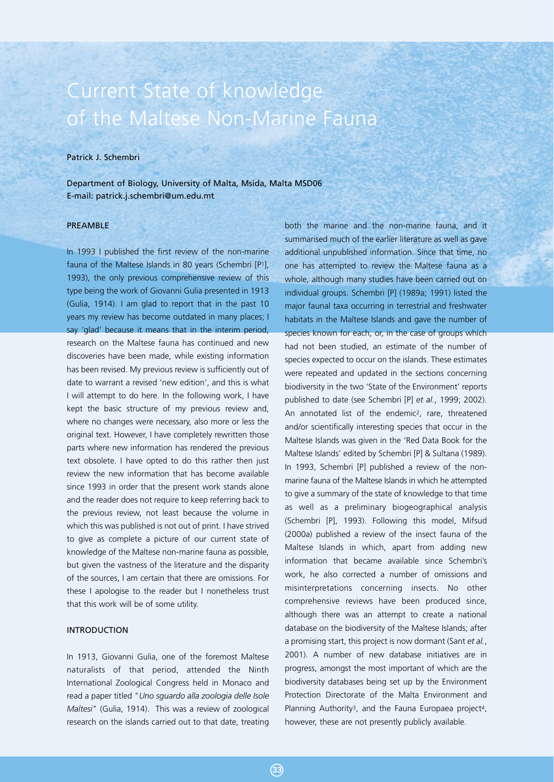# Current State of knowledge of the Maltese Non-Marine Fauna

# Patrick J. Schembri

Department of Biology, University of Malta, Msida, Malta MSD06 E-mail: patrick.j.schembri@um.edu.mt

#### PREAMBLE

In 1993 I published the first review of the non-marine fauna of the Maltese Islands in 80 years (Schembri [P1], 1993), the only previous comprehensive review of this type being the work of Giovanni Gulia presented in 1913 (Gulia, 1914). I am glad to report that in the past 10 years my review has become outdated in many places; I say 'glad' because it means that in the interim period, research on the Maltese fauna has continued and new discoveries have been made, while existing information has been revised. My previous review is sufficiently out of date to warrant a revised 'new edition', and this is what I will attempt to do here. In the following work, I have kept the basic structure of my previous review and, where no changes were necessary, also more or less the original text. However, I have completely rewritten those parts where new information has rendered the previous text obsolete. I have opted to do this rather then just review the new information that has become available since 1993 in order that the present work stands alone and the reader does not require to keep referring back to the previous review, not least because the volume in which this was published is not out of print. I have strived to give as complete a picture of our current state of knowledge of the Maltese non-marine fauna as possible, but given the vastness of the literature and the disparity of the sources, I am certain that there are omissions. For these I apologise to the reader but I nonetheless trust that this work will be of some utility.

#### INTRODUCTION

In 1913, Giovanni Gulia, one of the foremost Maltese naturalists of that period, attended the Ninth International Zoological Congress held in Monaco and read a paper titled "*Uno sguardo alla zoologia delle Isole Maltesi*" (Gulia, 1914). This was a review of zoological research on the islands carried out to that date, treating

both the marine and the non-marine fauna, and it summarised much of the earlier literature as well as gave additional unpublished information. Since that time, no one has attempted to review the Maltese fauna as a whole, although many studies have been carried out on individual groups. Schembri [P] (1989a; 1991) listed the major faunal taxa occurring in terrestrial and freshwater habitats in the Maltese Islands and gave the number of species known for each, or, in the case of groups which had not been studied, an estimate of the number of species expected to occur on the islands. These estimates were repeated and updated in the sections concerning biodiversity in the two 'State of the Environment' reports published to date (see Schembri [P] *et al.*, 1999; 2002). An annotated list of the endemic<sup>2</sup>, rare, threatened and/or scientifically interesting species that occur in the Maltese Islands was given in the 'Red Data Book for the Maltese Islands' edited by Schembri [P] & Sultana (1989). In 1993, Schembri [P] published a review of the nonmarine fauna of the Maltese Islands in which he attempted to give a summary of the state of knowledge to that time as well as a preliminary biogeographical analysis (Schembri [P], 1993). Following this model, Mifsud (2000a) published a review of the insect fauna of the Maltese Islands in which, apart from adding new information that became available since Schembri's work, he also corrected a number of omissions and misinterpretations concerning insects. No other comprehensive reviews have been produced since, although there was an attempt to create a national database on the biodiversity of the Maltese Islands; after a promising start, this project is now dormant (Sant *et al.*, 2001). A number of new database initiatives are in progress, amongst the most important of which are the biodiversity databases being set up by the Environment Protection Directorate of the Malta Environment and Planning Authority<sup>3</sup>, and the Fauna Europaea project<sup>4</sup>, however, these are not presently publicly available.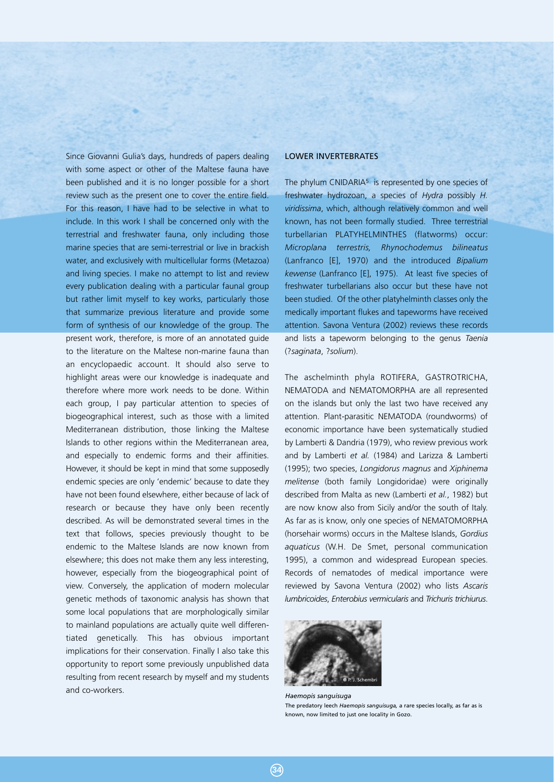Since Giovanni Gulia's days, hundreds of papers dealing with some aspect or other of the Maltese fauna have been published and it is no longer possible for a short review such as the present one to cover the entire field. For this reason, I have had to be selective in what to include. In this work I shall be concerned only with the terrestrial and freshwater fauna, only including those marine species that are semi-terrestrial or live in brackish water, and exclusively with multicellular forms (Metazoa) and living species. I make no attempt to list and review every publication dealing with a particular faunal group but rather limit myself to key works, particularly those that summarize previous literature and provide some form of synthesis of our knowledge of the group. The present work, therefore, is more of an annotated guide to the literature on the Maltese non-marine fauna than an encyclopaedic account. It should also serve to highlight areas were our knowledge is inadequate and therefore where more work needs to be done. Within each group, I pay particular attention to species of biogeographical interest, such as those with a limited Mediterranean distribution, those linking the Maltese Islands to other regions within the Mediterranean area, and especially to endemic forms and their affinities. However, it should be kept in mind that some supposedly endemic species are only 'endemic' because to date they have not been found elsewhere, either because of lack of research or because they have only been recently described. As will be demonstrated several times in the text that follows, species previously thought to be endemic to the Maltese Islands are now known from elsewhere; this does not make them any less interesting, however, especially from the biogeographical point of view. Conversely, the application of modern molecular genetic methods of taxonomic analysis has shown that some local populations that are morphologically similar to mainland populations are actually quite well differentiated genetically. This has obvious important implications for their conservation. Finally I also take this opportunity to report some previously unpublished data resulting from recent research by myself and my students and co-workers.

#### LOWER INVERTEBRATES

The phylum CNIDARIA<sup>5</sup> is represented by one species of freshwater hydrozoan, a species of *Hydra* possibly *H. viridissima*, which, although relatively common and well known, has not been formally studied. Three terrestrial turbellarian PLATYHELMINTHES (flatworms) occur: *Microplana terrestris, Rhynochodemus bilineatus* (Lanfranco [E], 1970) and the introduced *Bipalium kewense* (Lanfranco [E], 1975). At least five species of freshwater turbellarians also occur but these have not been studied. Of the other platyhelminth classes only the medically important flukes and tapeworms have received attention. Savona Ventura (2002) reviews these records and lists a tapeworm belonging to the genus *Taenia* (?*saginata*, ?*solium*).

The aschelminth phyla ROTIFERA, GASTROTRICHA, NEMATODA and NEMATOMORPHA are all represented on the islands but only the last two have received any attention. Plant-parasitic NEMATODA (roundworms) of economic importance have been systematically studied by Lamberti & Dandria (1979), who review previous work and by Lamberti *et al.* (1984) and Larizza & Lamberti (1995); two species, *Longidorus magnus* and *Xiphinema melitense* (both family Longidoridae) were originally described from Malta as new (Lamberti *et al.*, 1982) but are now know also from Sicily and/or the south of Italy. As far as is know, only one species of NEMATOMORPHA (horsehair worms) occurs in the Maltese Islands, *Gordius aquaticus* (W.H. De Smet, personal communication 1995), a common and widespread European species. Records of nematodes of medical importance were reviewed by Savona Ventura (2002) who lists *Ascaris lumbricoides*, *Enterobius vermicularis* and *Trichuris trichiurus*.



*Haemopis sanguisuga* The predatory leech *Haemopis sanguisuga,* a rare species locally, as far as is known, now limited to just one locality in Gozo.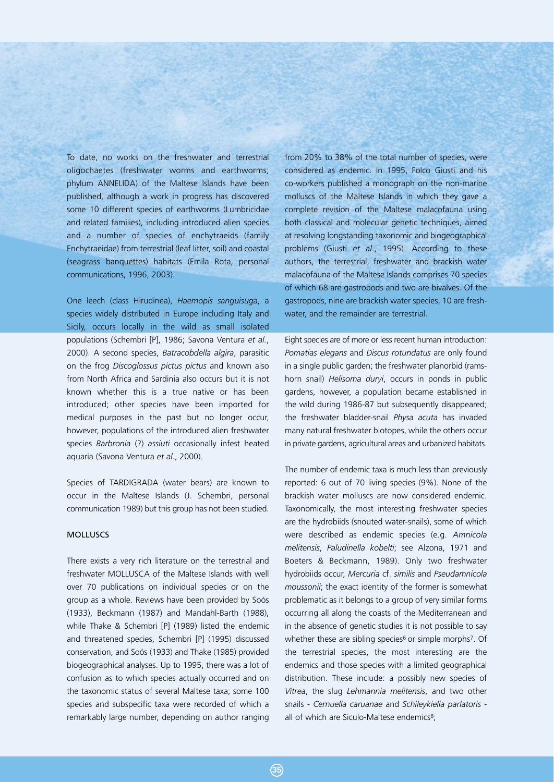To date, no works on the freshwater and terrestrial oligochaetes (freshwater worms and earthworms; phylum ANNELIDA) of the Maltese Islands have been published, although a work in progress has discovered some 10 different species of earthworms (Lumbricidae and related families), including introduced alien species and a number of species of enchytraeids (family Enchytraeidae) from terrestrial (leaf litter, soil) and coastal (seagrass banquettes) habitats (Emila Rota, personal communications, 1996, 2003).

One leech (class Hirudinea), *Haemopis sanguisuga*, a species widely distributed in Europe including Italy and Sicily, occurs locally in the wild as small isolated populations (Schembri [P], 1986; Savona Ventura *et al.*, 2000). A second species, *Batracobdella algira*, parasitic on the frog *Discoglossus pictus pictus* and known also from North Africa and Sardinia also occurs but it is not known whether this is a true native or has been introduced; other species have been imported for medical purposes in the past but no longer occur, however, populations of the introduced alien freshwater species *Barbronia* (?) *assiuti* occasionally infest heated aquaria (Savona Ventura *et al.*, 2000).

Species of TARDIGRADA (water bears) are known to occur in the Maltese Islands (J. Schembri, personal communication 1989) but this group has not been studied.

## **MOLLUSCS**

There exists a very rich literature on the terrestrial and freshwater MOLLUSCA of the Maltese Islands with well over 70 publications on individual species or on the group as a whole. Reviews have been provided by Soós (1933), Beckmann (1987) and Mandahl-Barth (1988), while Thake & Schembri [P] (1989) listed the endemic and threatened species, Schembri [P] (1995) discussed conservation, and Soós (1933) and Thake (1985) provided biogeographical analyses. Up to 1995, there was a lot of confusion as to which species actually occurred and on the taxonomic status of several Maltese taxa; some 100 species and subspecific taxa were recorded of which a remarkably large number, depending on author ranging

from 20% to 38% of the total number of species, were considered as endemic. In 1995, Folco Giusti and his co-workers published a monograph on the non-marine molluscs of the Maltese Islands in which they gave a complete revision of the Maltese malacofauna using both classical and molecular genetic techniques, aimed at resolving longstanding taxonomic and biogeographical problems (Giusti *et al.*, 1995). According to these authors, the terrestrial, freshwater and brackish water malacofauna of the Maltese Islands comprises 70 species of which 68 are gastropods and two are bivalves. Of the gastropods, nine are brackish water species, 10 are freshwater, and the remainder are terrestrial.

Eight species are of more or less recent human introduction: *Pomatias elegans* and *Discus rotundatus* are only found in a single public garden; the freshwater planorbid (ramshorn snail) *Helisoma duryi*, occurs in ponds in public gardens, however, a population became established in the wild during 1986-87 but subsequently disappeared; the freshwater bladder-snail *Physa acuta* has invaded many natural freshwater biotopes, while the others occur in private gardens, agricultural areas and urbanized habitats.

The number of endemic taxa is much less than previously reported: 6 out of 70 living species (9%). None of the brackish water molluscs are now considered endemic. Taxonomically, the most interesting freshwater species are the hydrobiids (snouted water-snails), some of which were described as endemic species (e.g. *Amnicola melitensis*, *Paludinella kobelti*; see Alzona, 1971 and Boeters & Beckmann, 1989). Only two freshwater hydrobiids occur, *Mercuria* cf. *similis* and *Pseudamnicola moussonii*; the exact identity of the former is somewhat problematic as it belongs to a group of very similar forms occurring all along the coasts of the Mediterranean and in the absence of genetic studies it is not possible to say whether these are sibling species<sup>6</sup> or simple morphs<sup>7</sup>. Of the terrestrial species, the most interesting are the endemics and those species with a limited geographical distribution. These include: a possibly new species of *Vitrea*, the slug *Lehmannia melitensis*, and two other snails - *Cernuella caruanae* and *Schileykiella parlatoris* all of which are Siculo-Maltese endemics<sup>8</sup>;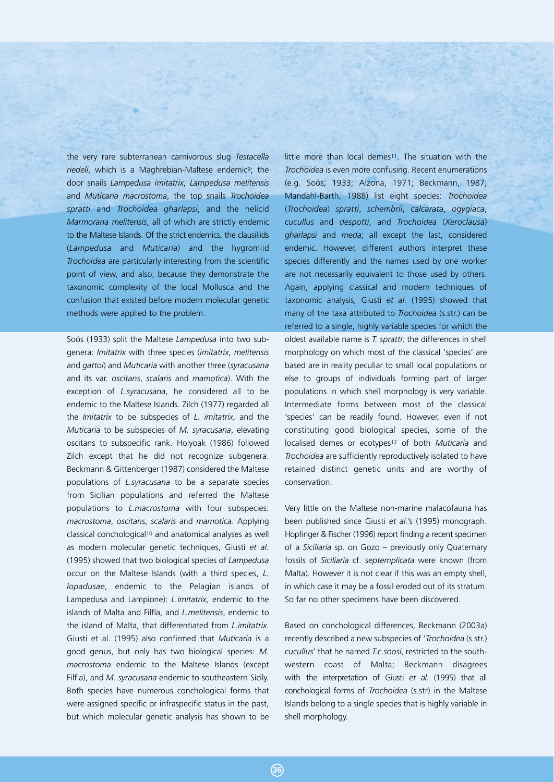the very rare subterranean carnivorous slug *Testacella* riedeli, which is a Maghrebian-Maltese endemic<sup>9</sup>; the door snails *Lampedusa imitatrix*, *Lampedusa melitensis* and *Muticaria macrostoma*, the top snails *Trochoidea spratti* and *Trochoidea gharlapsi*, and the helicid *Marmorana melitensis*, all of which are strictly endemic to the Maltese Islands. Of the strict endemics, the clausiliids (*Lampedusa* and *Muticaria*) and the hygromiid *Trochoidea* are particularly interesting from the scientific point of view, and also, because they demonstrate the taxonomic complexity of the local Mollusca and the confusion that existed before modern molecular genetic methods were applied to the problem.

Soós (1933) split the Maltese *Lampedusa* into two subgenera: *Imitatrix* with three species (*imitatrix*, *melitensis* and *gattoi*) and *Muticaria* with another three (*syracusana* and its var. *oscitans*, *scalaris* and *mamotica*). With the exception of *L.syracusana*, he considered all to be endemic to the Maltese Islands. Zilch (1977) regarded all the *Imitatrix* to be subspecies of *L. imitatrix*, and the *Muticaria* to be subspecies of *M. syracusana*, elevating oscitans to subspecific rank. Holyoak (1986) followed Zilch except that he did not recognize subgenera. Beckmann & Gittenberger (1987) considered the Maltese populations of *L.syracusana* to be a separate species from Sicilian populations and referred the Maltese populations to *L.macrostoma* with four subspecies: *macrostoma*, *oscitans*, *scalaris* and *mamotica*. Applying classical conchological10 and anatomical analyses as well as modern molecular genetic techniques, Giusti *et al.* (1995) showed that two biological species of *Lampedusa* occur on the Maltese Islands (with a third species, *L. lopadusae*, endemic to the Pelagian islands of Lampedusa and Lampione): *L.imitatrix*, endemic to the islands of Malta and Filfla, and *L.melitensis*, endemic to the island of Malta, that differentiated from *L.imitatrix*. Giusti et al. (1995) also confirmed that *Muticaria* is a good genus, but only has two biological species: *M. macrostoma* endemic to the Maltese Islands (except Filfla), and *M. syracusana* endemic to southeastern Sicily. Both species have numerous conchological forms that were assigned specific or infraspecific status in the past, but which molecular genetic analysis has shown to be

little more than local demes<sup>11</sup>. The situation with the *Trochoidea* is even more confusing. Recent enumerations (e.g. Soós, 1933; Alzona, 1971; Beckmann, 1987; Mandahl-Barth, 1988) list eight species: *Trochoidea* (*Trochoidea*) *spratti*, *schembrii*, *calcarata*, *ogygiaca*, *cucullus* and *despotti*, and *Trochoidea* (*Xeroclausa*) *gharlapsi* and *meda*; all except the last, considered endemic. However, different authors interpret these species differently and the names used by one worker are not necessarily equivalent to those used by others. Again, applying classical and modern techniques of taxonomic analysis, Giusti *et al.* (1995) showed that many of the taxa attributed to *Trochoidea* (s.str.) can be referred to a single, highly variable species for which the oldest available name is *T. spratti*; the differences in shell morphology on which most of the classical 'species' are based are in reality peculiar to small local populations or else to groups of individuals forming part of larger populations in which shell morphology is very variable. Intermediate forms between most of the classical 'species' can be readily found. However, even if not constituting good biological species, some of the localised demes or ecotypes12 of both *Muticaria* and *Trochoidea* are sufficiently reproductively isolated to have retained distinct genetic units and are worthy of conservation.

Very little on the Maltese non-marine malacofauna has been published since Giusti *et al.*'s (1995) monograph. Hopfinger & Fischer (1996) report finding a recent specimen of a *Siciliaria* sp. on Gozo – previously only Quaternary fossils of *Siciliaria* cf. *septemplicata* were known (from Malta). However it is not clear if this was an empty shell, in which case it may be a fossil eroded out of its stratum. So far no other specimens have been discovered.

Based on conchological differences, Beckmann (2003a) recently described a new subspecies of '*Trochoidea* (s.str.) *cucullus*' that he named *T.c.soosi*, restricted to the southwestern coast of Malta; Beckmann disagrees with the interpretation of Giusti *et al.* (1995) that all conchological forms of *Trochoidea* (s.str) in the Maltese Islands belong to a single species that is highly variable in shell morphology.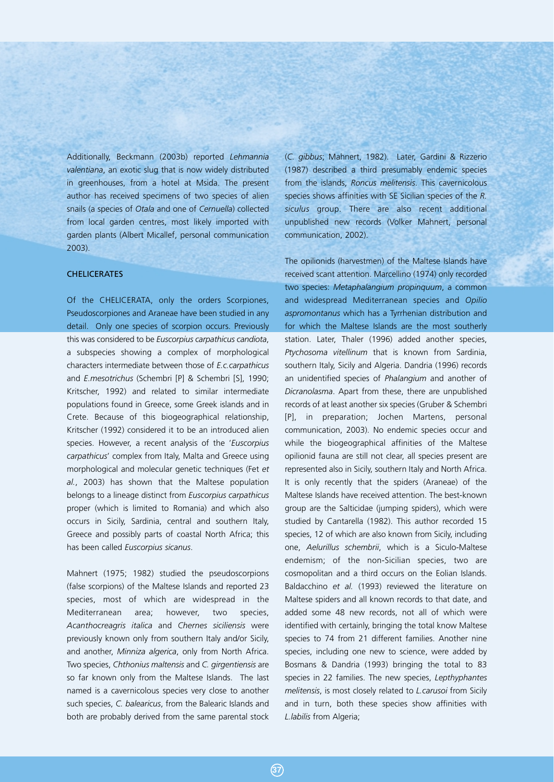Additionally, Beckmann (2003b) reported *Lehmannia valentiana*, an exotic slug that is now widely distributed in greenhouses, from a hotel at Msida. The present author has received specimens of two species of alien snails (a species of *Otala* and one of *Cernuella*) collected from local garden centres, most likely imported with garden plants (Albert Micallef, personal communication 2003).

#### CHELICERATES

Of the CHELICERATA, only the orders Scorpiones, Pseudoscorpiones and Araneae have been studied in any detail. Only one species of scorpion occurs. Previously this was considered to be *Euscorpius carpathicus candiota*, a subspecies showing a complex of morphological characters intermediate between those of *E.c.carpathicus* and *E.mesotrichus* (Schembri [P] & Schembri [S], 1990; Kritscher, 1992) and related to similar intermediate populations found in Greece, some Greek islands and in Crete. Because of this biogeographical relationship, Kritscher (1992) considered it to be an introduced alien species. However, a recent analysis of the '*Euscorpius carpathicus*' complex from Italy, Malta and Greece using morphological and molecular genetic techniques (Fet *et al.*, 2003) has shown that the Maltese population belongs to a lineage distinct from *Euscorpius carpathicus* proper (which is limited to Romania) and which also occurs in Sicily, Sardinia, central and southern Italy, Greece and possibly parts of coastal North Africa; this has been called *Euscorpius sicanus*.

Mahnert (1975; 1982) studied the pseudoscorpions (false scorpions) of the Maltese Islands and reported 23 species, most of which are widespread in the Mediterranean area; however, two species, *Acanthocreagris italica* and *Chernes siciliensis* were previously known only from southern Italy and/or Sicily, and another, *Minniza algerica*, only from North Africa. Two species, *Chthonius maltensis* and *C. girgentiensis* are so far known only from the Maltese Islands. The last named is a cavernicolous species very close to another such species, *C. balearicus*, from the Balearic Islands and both are probably derived from the same parental stock

(*C. gibbus*; Mahnert, 1982). Later, Gardini & Rizzerio (1987) described a third presumably endemic species from the islands, *Roncus melitensis*. This cavernicolous species shows affinities with SE Sicilian species of the *R. siculus* group. There are also recent additional unpublished new records (Volker Mahnert, personal communication, 2002).

The opilionids (harvestmen) of the Maltese Islands have received scant attention. Marcellino (1974) only recorded two species: *Metaphalangium propinquum*, a common and widespread Mediterranean species and *Opilio aspromontanus* which has a Tyrrhenian distribution and for which the Maltese Islands are the most southerly station. Later, Thaler (1996) added another species, *Ptychosoma vitellinum* that is known from Sardinia, southern Italy, Sicily and Algeria. Dandria (1996) records an unidentified species of *Phalangium* and another of *Dicranolasma*. Apart from these, there are unpublished records of at least another six species (Gruber & Schembri [P], in preparation; Jochen Martens, personal communication, 2003). No endemic species occur and while the biogeographical affinities of the Maltese opilionid fauna are still not clear, all species present are represented also in Sicily, southern Italy and North Africa. It is only recently that the spiders (Araneae) of the Maltese Islands have received attention. The best-known group are the Salticidae (jumping spiders), which were studied by Cantarella (1982). This author recorded 15 species, 12 of which are also known from Sicily, including one, *Aelurillus schembrii*, which is a Siculo-Maltese endemism; of the non-Sicilian species, two are cosmopolitan and a third occurs on the Eolian Islands. Baldacchino *et al.* (1993) reviewed the literature on Maltese spiders and all known records to that date, and added some 48 new records, not all of which were identified with certainly, bringing the total know Maltese species to 74 from 21 different families. Another nine species, including one new to science, were added by Bosmans & Dandria (1993) bringing the total to 83 species in 22 families. The new species, *Lepthyphantes melitensis*, is most closely related to *L.carusoi* from Sicily and in turn, both these species show affinities with *L.labilis* from Algeria;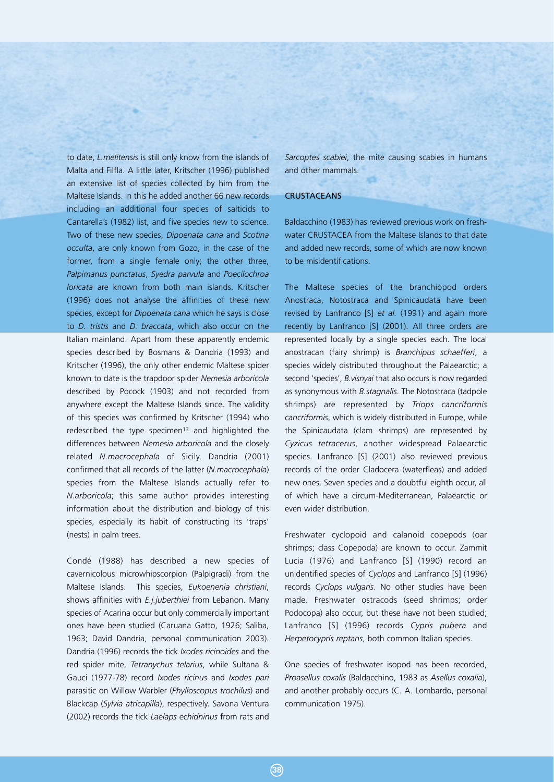to date, *L.melitensis* is still only know from the islands of Malta and Filfla. A little later, Kritscher (1996) published an extensive list of species collected by him from the Maltese Islands. In this he added another 66 new records including an additional four species of salticids to Cantarella's (1982) list, and five species new to science. Two of these new species, *Dipoenata cana* and *Scotina occulta*, are only known from Gozo, in the case of the former, from a single female only; the other three, *Palpimanus punctatus*, *Syedra parvula* and *Poecilochroa loricata* are known from both main islands. Kritscher (1996) does not analyse the affinities of these new species, except for *Dipoenata cana* which he says is close to *D. tristis* and *D. braccata*, which also occur on the Italian mainland. Apart from these apparently endemic species described by Bosmans & Dandria (1993) and Kritscher (1996), the only other endemic Maltese spider known to date is the trapdoor spider *Nemesia arboricola* described by Pocock (1903) and not recorded from anywhere except the Maltese Islands since. The validity of this species was confirmed by Kritscher (1994) who redescribed the type specimen<sup>13</sup> and highlighted the differences between *Nemesia arboricola* and the closely related *N.macrocephala* of Sicily. Dandria (2001) confirmed that all records of the latter (*N.macrocephala*) species from the Maltese Islands actually refer to *N.arboricola*; this same author provides interesting information about the distribution and biology of this species, especially its habit of constructing its 'traps' (nests) in palm trees.

Condé (1988) has described a new species of cavernicolous microwhipscorpion (Palpigradi) from the Maltese Islands. This species, *Eukoenenia christiani*, shows affinities with *E.j.juberthiei* from Lebanon. Many species of Acarina occur but only commercially important ones have been studied (Caruana Gatto, 1926; Saliba, 1963; David Dandria, personal communication 2003). Dandria (1996) records the tick *Ixodes ricinoides* and the red spider mite, *Tetranychus telarius*, while Sultana & Gauci (1977-78) record *Ixodes ricinus* and *Ixodes pari* parasitic on Willow Warbler (*Phylloscopus trochilus*) and Blackcap (*Sylvia atricapilla*), respectively. Savona Ventura (2002) records the tick *Laelaps echidninus* from rats and

*Sarcoptes scabiei*, the mite causing scabies in humans and other mammals.

#### **CRUSTACEANS**

Baldacchino (1983) has reviewed previous work on freshwater CRUSTACEA from the Maltese Islands to that date and added new records, some of which are now known to be misidentifications.

The Maltese species of the branchiopod orders Anostraca, Notostraca and Spinicaudata have been revised by Lanfranco [S] *et al.* (1991) and again more recently by Lanfranco [S] (2001). All three orders are represented locally by a single species each. The local anostracan (fairy shrimp) is *Branchipus schaefferi*, a species widely distributed throughout the Palaearctic; a second 'species', *B.visnyai* that also occurs is now regarded as synonymous with *B.stagnalis*. The Notostraca (tadpole shrimps) are represented by *Triops cancriformis cancriformis*, which is widely distributed in Europe, while the Spinicaudata (clam shrimps) are represented by *Cyzicus tetracerus*, another widespread Palaearctic species. Lanfranco [S] (2001) also reviewed previous records of the order Cladocera (waterfleas) and added new ones. Seven species and a doubtful eighth occur, all of which have a circum-Mediterranean, Palaearctic or even wider distribution.

Freshwater cyclopoid and calanoid copepods (oar shrimps; class Copepoda) are known to occur. Zammit Lucia (1976) and Lanfranco [S] (1990) record an unidentified species of *Cyclops* and Lanfranco [S] (1996) records *Cyclops vulgaris*. No other studies have been made. Freshwater ostracods (seed shrimps; order Podocopa) also occur, but these have not been studied; Lanfranco [S] (1996) records *Cypris pubera* and *Herpetocypris reptans*, both common Italian species.

One species of freshwater isopod has been recorded, *Proasellus coxalis* (Baldacchino, 1983 as *Asellus coxalia*), and another probably occurs (C. A. Lombardo, personal communication 1975).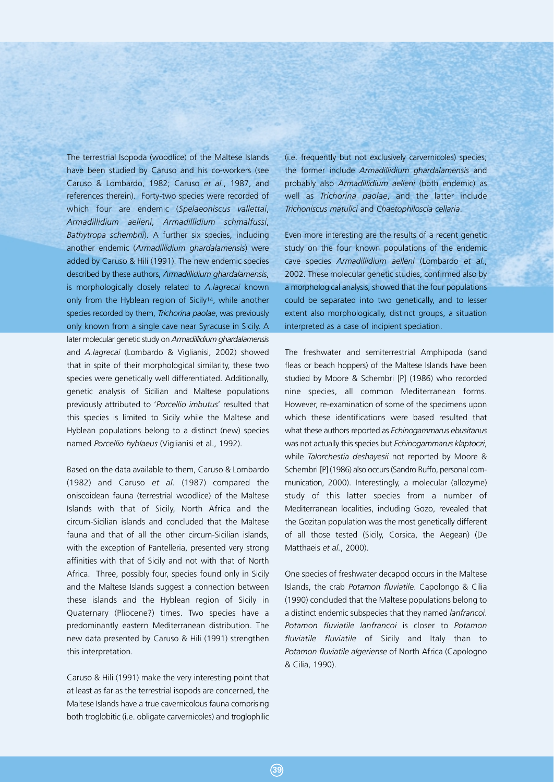The terrestrial Isopoda (woodlice) of the Maltese Islands have been studied by Caruso and his co-workers (see Caruso & Lombardo, 1982; Caruso *et al.*, 1987, and references therein). Forty-two species were recorded of which four are endemic (*Spelaeoniscus vallettai*, *Armadillidium aelleni*, *Armadillidium schmalfussi*, *Bathytropa schembrii*). A further six species, including another endemic (*Armadillidium ghardalamensis*) were added by Caruso & Hili (1991). The new endemic species described by these authors, *Armadillidium ghardalamensis*, is morphologically closely related to *A.lagrecai* known only from the Hyblean region of Sicily14, while another species recorded by them, *Trichorina paolae*, was previously only known from a single cave near Syracuse in Sicily. A later molecular genetic study on *Armadillidium ghardalamensis* and *A.lagrecai* (Lombardo & Viglianisi, 2002) showed that in spite of their morphological similarity, these two species were genetically well differentiated. Additionally, genetic analysis of Sicilian and Maltese populations previously attributed to '*Porcellio imbutus*' resulted that this species is limited to Sicily while the Maltese and Hyblean populations belong to a distinct (new) species named *Porcellio hyblaeus* (Viglianisi et al., 1992).

Based on the data available to them, Caruso & Lombardo (1982) and Caruso *et al.* (1987) compared the oniscoidean fauna (terrestrial woodlice) of the Maltese Islands with that of Sicily, North Africa and the circum-Sicilian islands and concluded that the Maltese fauna and that of all the other circum-Sicilian islands, with the exception of Pantelleria, presented very strong affinities with that of Sicily and not with that of North Africa. Three, possibly four, species found only in Sicily and the Maltese Islands suggest a connection between these islands and the Hyblean region of Sicily in Quaternary (Pliocene?) times. Two species have a predominantly eastern Mediterranean distribution. The new data presented by Caruso & Hili (1991) strengthen this interpretation.

Caruso & Hili (1991) make the very interesting point that at least as far as the terrestrial isopods are concerned, the Maltese Islands have a true cavernicolous fauna comprising both troglobitic (i.e. obligate carvernicoles) and troglophilic

(i.e. frequently but not exclusively carvernicoles) species; the former include *Armadillidium ghardalamensis* and probably also *Armadillidium aelleni* (both endemic) as well as *Trichorina paolae*, and the latter include *Trichoniscus matulici* and *Chaetophiloscia cellaria*.

Even more interesting are the results of a recent genetic study on the four known populations of the endemic cave species *Armadillidium aelleni* (Lombardo *et al.*, 2002. These molecular genetic studies, confirmed also by a morphological analysis, showed that the four populations could be separated into two genetically, and to lesser extent also morphologically, distinct groups, a situation interpreted as a case of incipient speciation.

The freshwater and semiterrestrial Amphipoda (sand fleas or beach hoppers) of the Maltese Islands have been studied by Moore & Schembri [P] (1986) who recorded nine species, all common Mediterranean forms. However, re-examination of some of the specimens upon which these identifications were based resulted that what these authors reported as *Echinogammarus ebusitanus* was not actually this species but *Echinogammarus klaptoczi*, while *Talorchestia deshayesii* not reported by Moore & Schembri [P] (1986) also occurs (Sandro Ruffo, personal communication, 2000). Interestingly, a molecular (allozyme) study of this latter species from a number of Mediterranean localities, including Gozo, revealed that the Gozitan population was the most genetically different of all those tested (Sicily, Corsica, the Aegean) (De Matthaeis *et al.*, 2000).

One species of freshwater decapod occurs in the Maltese Islands, the crab *Potamon fluviatile*. Capolongo & Cilia (1990) concluded that the Maltese populations belong to a distinct endemic subspecies that they named *lanfrancoi*. *Potamon fluviatile lanfrancoi* is closer to *Potamon fluviatile fluviatile* of Sicily and Italy than to *Potamon fluviatile algeriense* of North Africa (Capologno & Cilia, 1990).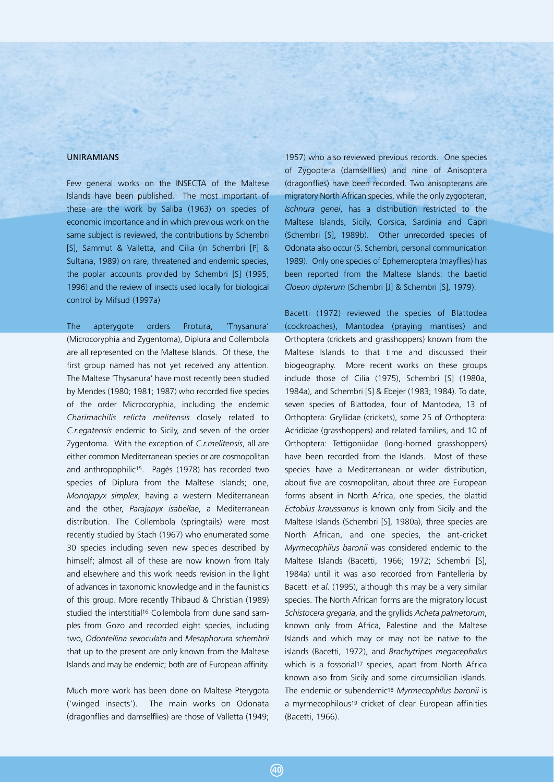#### UNIRAMIANS

Few general works on the INSECTA of the Maltese Islands have been published. The most important of these are the work by Saliba (1963) on species of economic importance and in which previous work on the same subject is reviewed, the contributions by Schembri [S], Sammut & Valletta, and Cilia (in Schembri [P] & Sultana, 1989) on rare, threatened and endemic species, the poplar accounts provided by Schembri [S] (1995; 1996) and the review of insects used locally for biological control by Mifsud (1997a)

The apterygote orders Protura, 'Thysanura' (Microcoryphia and Zygentoma), Diplura and Collembola are all represented on the Maltese Islands. Of these, the first group named has not yet received any attention. The Maltese 'Thysanura' have most recently been studied by Mendes (1980; 1981; 1987) who recorded five species of the order Microcoryphia, including the endemic *Charimachilis relicta melitensis* closely related to *C.r.egatensis* endemic to Sicily, and seven of the order Zygentoma. With the exception of *C.r.melitensis*, all are either common Mediterranean species or are cosmopolitan and anthropophilic<sup>15</sup>. Pagés (1978) has recorded two species of Diplura from the Maltese Islands; one, *Monojapyx simplex*, having a western Mediterranean and the other, *Parajapyx isabellae*, a Mediterranean distribution. The Collembola (springtails) were most recently studied by Stach (1967) who enumerated some 30 species including seven new species described by himself; almost all of these are now known from Italy and elsewhere and this work needs revision in the light of advances in taxonomic knowledge and in the faunistics of this group. More recently Thibaud & Christian (1989) studied the interstitial<sup>16</sup> Collembola from dune sand samples from Gozo and recorded eight species, including two, *Odontellina sexoculata* and *Mesaphorura schembrii* that up to the present are only known from the Maltese Islands and may be endemic; both are of European affinity.

Much more work has been done on Maltese Pterygota ('winged insects'). The main works on Odonata (dragonflies and damselflies) are those of Valletta (1949;

1957) who also reviewed previous records. One species of Zygoptera (damselflies) and nine of Anisoptera (dragonflies) have been recorded. Two anisopterans are migratory North African species, while the only zygopteran, *Ischnura genei*, has a distribution restricted to the Maltese Islands, Sicily, Corsica, Sardinia and Capri (Schembri [S], 1989b). Other unrecorded species of Odonata also occur (S. Schembri, personal communication 1989). Only one species of Ephemeroptera (mayflies) has been reported from the Maltese Islands: the baetid *Cloeon dipterum* (Schembri [J] & Schembri [S], 1979).

Bacetti (1972) reviewed the species of Blattodea (cockroaches), Mantodea (praying mantises) and Orthoptera (crickets and grasshoppers) known from the Maltese Islands to that time and discussed their biogeography. More recent works on these groups include those of Cilia (1975), Schembri [S] (1980a, 1984a), and Schembri [S] & Ebejer (1983; 1984). To date, seven species of Blattodea, four of Mantodea, 13 of Orthoptera: Gryllidae (crickets), some 25 of Orthoptera: Acrididae (grasshoppers) and related families, and 10 of Orthoptera: Tettigoniidae (long-horned grasshoppers) have been recorded from the Islands. Most of these species have a Mediterranean or wider distribution, about five are cosmopolitan, about three are European forms absent in North Africa, one species, the blattid *Ectobius kraussianus* is known only from Sicily and the Maltese Islands (Schembri [S], 1980a), three species are North African, and one species, the ant-cricket *Myrmecophilus baronii* was considered endemic to the Maltese Islands (Bacetti, 1966; 1972; Schembri [S], 1984a) until it was also recorded from Pantelleria by Bacetti *et al.* (1995), although this may be a very similar species. The North African forms are the migratory locust *Schistocera gregaria*, and the gryllids *Acheta palmetorum*, known only from Africa, Palestine and the Maltese Islands and which may or may not be native to the islands (Bacetti, 1972), and *Brachytripes megacephalus* which is a fossorial<sup>17</sup> species, apart from North Africa known also from Sicily and some circumsicilian islands. The endemic or subendemic18 *Myrmecophilus baronii* is a myrmecophilous<sup>19</sup> cricket of clear European affinities (Bacetti, 1966).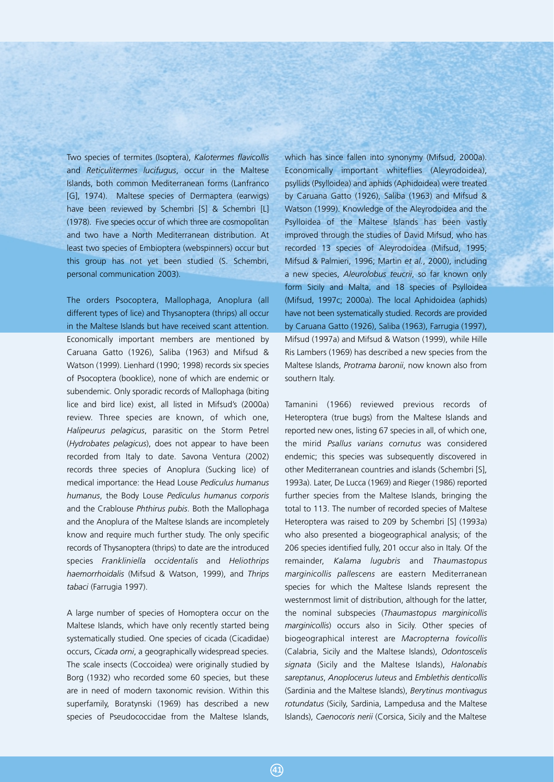Two species of termites (Isoptera), *Kalotermes flavicollis* and *Reticulitermes lucifugus*, occur in the Maltese Islands, both common Mediterranean forms (Lanfranco [G], 1974). Maltese species of Dermaptera (earwigs) have been reviewed by Schembri [S] & Schembri [L] (1978). Five species occur of which three are cosmopolitan and two have a North Mediterranean distribution. At least two species of Embioptera (webspinners) occur but this group has not yet been studied (S. Schembri, personal communication 2003).

The orders Psocoptera, Mallophaga, Anoplura (all different types of lice) and Thysanoptera (thrips) all occur in the Maltese Islands but have received scant attention. Economically important members are mentioned by Caruana Gatto (1926), Saliba (1963) and Mifsud & Watson (1999). Lienhard (1990; 1998) records six species of Psocoptera (booklice), none of which are endemic or subendemic. Only sporadic records of Mallophaga (biting lice and bird lice) exist, all listed in Mifsud's (2000a) review. Three species are known, of which one, *Halipeurus pelagicus*, parasitic on the Storm Petrel (*Hydrobates pelagicus*), does not appear to have been recorded from Italy to date. Savona Ventura (2002) records three species of Anoplura (Sucking lice) of medical importance: the Head Louse *Pediculus humanus humanus*, the Body Louse *Pediculus humanus corporis* and the Crablouse *Phthirus pubis*. Both the Mallophaga and the Anoplura of the Maltese Islands are incompletely know and require much further study. The only specific records of Thysanoptera (thrips) to date are the introduced species *Frankliniella occidentalis* and *Heliothrips haemorrhoidalis* (Mifsud & Watson, 1999), and *Thrips tabaci* (Farrugia 1997).

A large number of species of Homoptera occur on the Maltese Islands, which have only recently started being systematically studied. One species of cicada (Cicadidae) occurs, *Cicada orni*, a geographically widespread species. The scale insects (Coccoidea) were originally studied by Borg (1932) who recorded some 60 species, but these are in need of modern taxonomic revision. Within this superfamily, Boratynski (1969) has described a new species of Pseudococcidae from the Maltese Islands,

which has since fallen into synonymy (Mifsud, 2000a). Economically important whiteflies (Aleyrodoidea), psyllids (Psylloidea) and aphids (Aphidoidea) were treated by Caruana Gatto (1926), Saliba (1963) and Mifsud & Watson (1999). Knowledge of the Aleyrodoidea and the Psylloidea of the Maltese Islands has been vastly improved through the studies of David Mifsud, who has recorded 13 species of Aleyrodoidea (Mifsud, 1995; Mifsud & Palmieri, 1996; Martin *et al.*, 2000), including a new species, *Aleurolobus teucrii*, so far known only form Sicily and Malta, and 18 species of Psylloidea (Mifsud, 1997c; 2000a). The local Aphidoidea (aphids) have not been systematically studied. Records are provided by Caruana Gatto (1926), Saliba (1963), Farrugia (1997), Mifsud (1997a) and Mifsud & Watson (1999), while Hille Ris Lambers (1969) has described a new species from the Maltese Islands, *Protrama baronii*, now known also from southern Italy.

Tamanini (1966) reviewed previous records of Heteroptera (true bugs) from the Maltese Islands and reported new ones, listing 67 species in all, of which one, the mirid *Psallus varians cornutus* was considered endemic; this species was subsequently discovered in other Mediterranean countries and islands (Schembri [S], 1993a). Later, De Lucca (1969) and Rieger (1986) reported further species from the Maltese Islands, bringing the total to 113. The number of recorded species of Maltese Heteroptera was raised to 209 by Schembri [S] (1993a) who also presented a biogeographical analysis; of the 206 species identified fully, 201 occur also in Italy. Of the remainder, *Kalama lugubris* and *Thaumastopus marginicollis pallescens* are eastern Mediterranean species for which the Maltese Islands represent the westernmost limit of distribution, although for the latter, the nominal subspecies (*Thaumastopus marginicollis marginicollis*) occurs also in Sicily. Other species of biogeographical interest are *Macropterna fovicollis* (Calabria, Sicily and the Maltese Islands), *Odontoscelis signata* (Sicily and the Maltese Islands), *Halonabis sareptanus*, *Anoplocerus luteus* and *Emblethis denticollis* (Sardinia and the Maltese Islands), *Berytinus montivagus rotundatus* (Sicily, Sardinia, Lampedusa and the Maltese Islands), *Caenocoris nerii* (Corsica, Sicily and the Maltese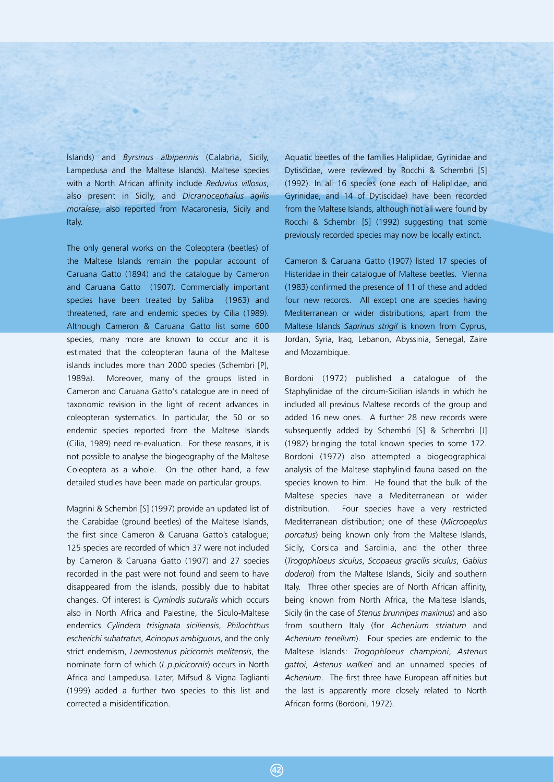Islands) and *Byrsinus albipennis* (Calabria, Sicily, Lampedusa and the Maltese Islands). Maltese species with a North African affinity include *Reduvius villosus*, also present in Sicily, and *Dicranocephalus agilis moralese*, also reported from Macaronesia, Sicily and Italy.

The only general works on the Coleoptera (beetles) of the Maltese Islands remain the popular account of Caruana Gatto (1894) and the catalogue by Cameron and Caruana Gatto (1907). Commercially important species have been treated by Saliba (1963) and threatened, rare and endemic species by Cilia (1989). Although Cameron & Caruana Gatto list some 600 species, many more are known to occur and it is estimated that the coleopteran fauna of the Maltese islands includes more than 2000 species (Schembri [P], 1989a). Moreover, many of the groups listed in Cameron and Caruana Gatto's catalogue are in need of taxonomic revision in the light of recent advances in coleopteran systematics. In particular, the 50 or so endemic species reported from the Maltese Islands (Cilia, 1989) need re-evaluation. For these reasons, it is not possible to analyse the biogeography of the Maltese Coleoptera as a whole. On the other hand, a few detailed studies have been made on particular groups.

Magrini & Schembri [S] (1997) provide an updated list of the Carabidae (ground beetles) of the Maltese Islands, the first since Cameron & Caruana Gatto's catalogue; 125 species are recorded of which 37 were not included by Cameron & Caruana Gatto (1907) and 27 species recorded in the past were not found and seem to have disappeared from the islands, possibly due to habitat changes. Of interest is *Cymindis suturalis* which occurs also in North Africa and Palestine, the Siculo-Maltese endemics *Cylindera trisignata siciliensis*, *Philochthus escherichi subatratus*, *Acinopus ambiguous*, and the only strict endemism, *Laemostenus picicornis melitensis*, the nominate form of which (*L.p.picicornis*) occurs in North Africa and Lampedusa. Later, Mifsud & Vigna Taglianti (1999) added a further two species to this list and corrected a misidentification.

Aquatic beetles of the families Haliplidae, Gyrinidae and Dytiscidae, were reviewed by Rocchi & Schembri [S] (1992). In all 16 species (one each of Haliplidae, and Gyrinidae, and 14 of Dytiscidae) have been recorded from the Maltese Islands, although not all were found by Rocchi & Schembri [S] (1992) suggesting that some previously recorded species may now be locally extinct.

Cameron & Caruana Gatto (1907) listed 17 species of Histeridae in their catalogue of Maltese beetles. Vienna (1983) confirmed the presence of 11 of these and added four new records. All except one are species having Mediterranean or wider distributions; apart from the Maltese Islands *Saprinus strigil* is known from Cyprus, Jordan, Syria, Iraq, Lebanon, Abyssinia, Senegal, Zaire and Mozambique.

Bordoni (1972) published a catalogue of the Staphylinidae of the circum-Sicilian islands in which he included all previous Maltese records of the group and added 16 new ones. A further 28 new records were subsequently added by Schembri [S] & Schembri [J] (1982) bringing the total known species to some 172. Bordoni (1972) also attempted a biogeographical analysis of the Maltese staphylinid fauna based on the species known to him. He found that the bulk of the Maltese species have a Mediterranean or wider distribution. Four species have a very restricted Mediterranean distribution; one of these (*Micropeplus porcatus*) being known only from the Maltese Islands, Sicily, Corsica and Sardinia, and the other three (*Trogophloeus siculus*, *Scopaeus gracilis siculus*, *Gabius doderoi*) from the Maltese Islands, Sicily and southern Italy. Three other species are of North African affinity, being known from North Africa, the Maltese Islands, Sicily (in the case of *Stenus brunnipes maximus*) and also from southern Italy (for *Achenium striatum* and *Achenium tenellum*). Four species are endemic to the Maltese Islands: *Trogophloeus championi*, *Astenus gattoi*, *Astenus walkeri* and an unnamed species of *Achenium*. The first three have European affinities but the last is apparently more closely related to North African forms (Bordoni, 1972).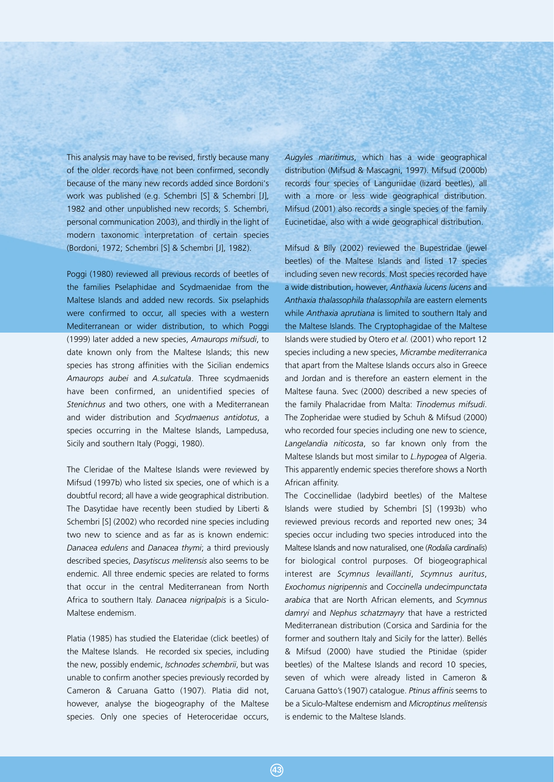This analysis may have to be revised, firstly because many of the older records have not been confirmed, secondly because of the many new records added since Bordoni's work was published (e.g. Schembri [S] & Schembri [J], 1982 and other unpublished new records; S. Schembri, personal communication 2003), and thirdly in the light of modern taxonomic interpretation of certain species (Bordoni, 1972; Schembri [S] & Schembri [J], 1982).

Poggi (1980) reviewed all previous records of beetles of the families Pselaphidae and Scydmaenidae from the Maltese Islands and added new records. Six pselaphids were confirmed to occur, all species with a western Mediterranean or wider distribution, to which Poggi (1999) later added a new species, *Amaurops mifsudi*, to date known only from the Maltese Islands; this new species has strong affinities with the Sicilian endemics *Amaurops aubei* and *A.sulcatula*. Three scydmaenids have been confirmed, an unidentified species of *Stenichnus* and two others, one with a Mediterranean and wider distribution and *Scydmaenus antidotus*, a species occurring in the Maltese Islands, Lampedusa, Sicily and southern Italy (Poggi, 1980).

The Cleridae of the Maltese Islands were reviewed by Mifsud (1997b) who listed six species, one of which is a doubtful record; all have a wide geographical distribution. The Dasytidae have recently been studied by Liberti & Schembri [S] (2002) who recorded nine species including two new to science and as far as is known endemic: *Danacea edulens* and *Danacea thymi*; a third previously described species, *Dasytiscus melitensis* also seems to be endemic. All three endemic species are related to forms that occur in the central Mediterranean from North Africa to southern Italy. *Danacea nigripalpis* is a Siculo-Maltese endemism.

Platia (1985) has studied the Elateridae (click beetles) of the Maltese Islands. He recorded six species, including the new, possibly endemic, *Ischnodes schembrii*, but was unable to confirm another species previously recorded by Cameron & Caruana Gatto (1907). Platia did not, however, analyse the biogeography of the Maltese species. Only one species of Heteroceridae occurs,

*Augyles maritimus*, which has a wide geographical distribution (Mifsud & Mascagni, 1997). Mifsud (2000b) records four species of Languriidae (lizard beetles), all with a more or less wide geographical distribution. Mifsud (2001) also records a single species of the family Eucinetidae, also with a wide geographical distribution.

Mifsud & Bíly (2002) reviewed the Bupestridae (jewel) beetles) of the Maltese Islands and listed 17 species including seven new records. Most species recorded have a wide distribution, however, *Anthaxia lucens lucens* and *Anthaxia thalassophila thalassophila* are eastern elements while *Anthaxia aprutiana* is limited to southern Italy and the Maltese Islands. The Cryptophagidae of the Maltese Islands were studied by Otero *et al.* (2001) who report 12 species including a new species, *Micrambe mediterranica* that apart from the Maltese Islands occurs also in Greece and Jordan and is therefore an eastern element in the Maltese fauna. Svec (2000) described a new species of the family Phalacridae from Malta: *Tinodemus mifsudi*. The Zopheridae were studied by Schuh & Mifsud (2000) who recorded four species including one new to science, *Langelandia niticosta*, so far known only from the Maltese Islands but most similar to *L.hypogea* of Algeria. This apparently endemic species therefore shows a North African affinity.

The Coccinellidae (ladybird beetles) of the Maltese Islands were studied by Schembri [S] (1993b) who reviewed previous records and reported new ones; 34 species occur including two species introduced into the Maltese Islands and now naturalised, one (*Rodalia cardinalis*) for biological control purposes. Of biogeographical interest are *Scymnus levaillanti*, *Scymnus auritus*, *Exochomus nigripennis* and *Coccinella undecimpunctata arabica* that are North African elements, and *Scymnus damryi* and *Nephus schatzmayry* that have a restricted Mediterranean distribution (Corsica and Sardinia for the former and southern Italy and Sicily for the latter). Bellés & Mifsud (2000) have studied the Ptinidae (spider beetles) of the Maltese Islands and record 10 species, seven of which were already listed in Cameron & Caruana Gatto's (1907) catalogue. *Ptinus affinis* seems to be a Siculo-Maltese endemism and *Microptinus melitensis* is endemic to the Maltese Islands.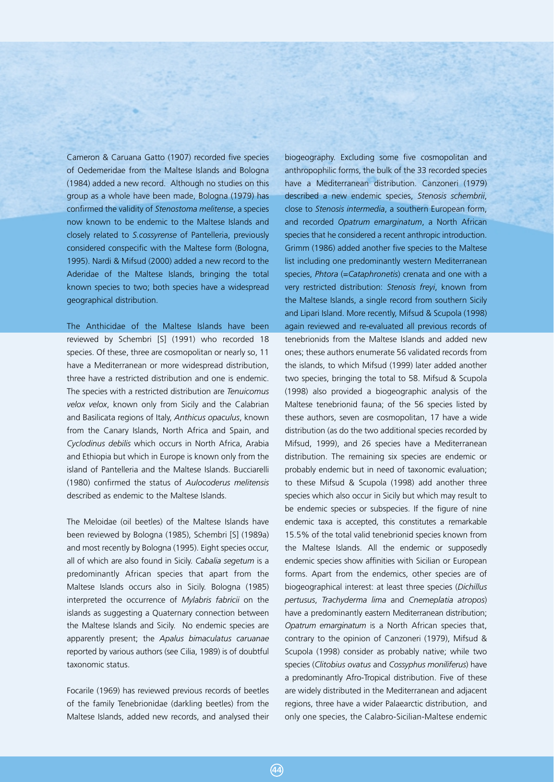Cameron & Caruana Gatto (1907) recorded five species of Oedemeridae from the Maltese Islands and Bologna (1984) added a new record. Although no studies on this group as a whole have been made, Bologna (1979) has confirmed the validity of *Stenostoma melitense*, a species now known to be endemic to the Maltese Islands and closely related to *S.cossyrense* of Pantelleria, previously considered conspecific with the Maltese form (Bologna, 1995). Nardi & Mifsud (2000) added a new record to the Aderidae of the Maltese Islands, bringing the total known species to two; both species have a widespread geographical distribution.

The Anthicidae of the Maltese Islands have been reviewed by Schembri [S] (1991) who recorded 18 species. Of these, three are cosmopolitan or nearly so, 11 have a Mediterranean or more widespread distribution, three have a restricted distribution and one is endemic. The species with a restricted distribution are *Tenuicomus velox velox*, known only from Sicily and the Calabrian and Basilicata regions of Italy, *Anthicus opaculus*, known from the Canary Islands, North Africa and Spain, and *Cyclodinus debilis* which occurs in North Africa, Arabia and Ethiopia but which in Europe is known only from the island of Pantelleria and the Maltese Islands. Bucciarelli (1980) confirmed the status of *Aulocoderus melitensis* described as endemic to the Maltese Islands.

The Meloidae (oil beetles) of the Maltese Islands have been reviewed by Bologna (1985), Schembri [S] (1989a) and most recently by Bologna (1995). Eight species occur, all of which are also found in Sicily. *Cabalia segetum* is a predominantly African species that apart from the Maltese Islands occurs also in Sicily. Bologna (1985) interpreted the occurrence of *Mylabris fabricii* on the islands as suggesting a Quaternary connection between the Maltese Islands and Sicily. No endemic species are apparently present; the *Apalus bimaculatus caruanae* reported by various authors (see Cilia, 1989) is of doubtful taxonomic status.

Focarile (1969) has reviewed previous records of beetles of the family Tenebrionidae (darkling beetles) from the Maltese Islands, added new records, and analysed their biogeography. Excluding some five cosmopolitan and anthropophilic forms, the bulk of the 33 recorded species have a Mediterranean distribution. Canzoneri (1979) described a new endemic species, *Stenosis schembrii*, close to *Stenosis intermedia*, a southern European form, and recorded *Opatrum emarginatum*, a North African species that he considered a recent anthropic introduction. Grimm (1986) added another five species to the Maltese list including one predominantly western Mediterranean species, *Phtora* (=*Cataphronetis*) crenata and one with a very restricted distribution: *Stenosis freyi*, known from the Maltese Islands, a single record from southern Sicily and Lipari Island. More recently, Mifsud & Scupola (1998) again reviewed and re-evaluated all previous records of tenebrionids from the Maltese Islands and added new ones; these authors enumerate 56 validated records from the islands, to which Mifsud (1999) later added another two species, bringing the total to 58. Mifsud & Scupola (1998) also provided a biogeographic analysis of the Maltese tenebrionid fauna; of the 56 species listed by these authors, seven are cosmopolitan, 17 have a wide distribution (as do the two additional species recorded by Mifsud, 1999), and 26 species have a Mediterranean distribution. The remaining six species are endemic or probably endemic but in need of taxonomic evaluation; to these Mifsud & Scupola (1998) add another three species which also occur in Sicily but which may result to be endemic species or subspecies. If the figure of nine endemic taxa is accepted, this constitutes a remarkable 15.5% of the total valid tenebrionid species known from the Maltese Islands. All the endemic or supposedly endemic species show affinities with Sicilian or European forms. Apart from the endemics, other species are of biogeographical interest: at least three species (*Dichillus pertusus*, *Trachyderma lima* and *Cnemeplatia atropos*) have a predominantly eastern Mediterranean distribution; *Opatrum emarginatum* is a North African species that, contrary to the opinion of Canzoneri (1979), Mifsud & Scupola (1998) consider as probably native; while two species (*Clitobius ovatus* and *Cossyphus moniliferus*) have a predominantly Afro-Tropical distribution. Five of these are widely distributed in the Mediterranean and adjacent regions, three have a wider Palaearctic distribution, and only one species, the Calabro-Sicilian-Maltese endemic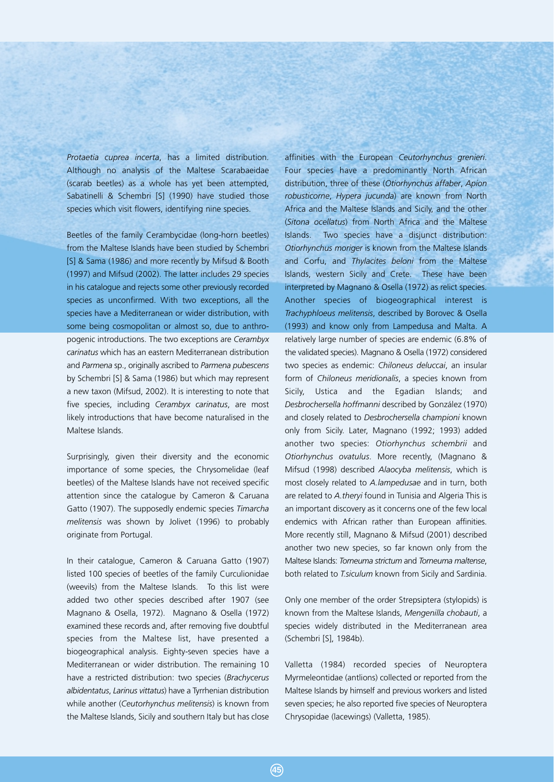*Protaetia cuprea incerta*, has a limited distribution. Although no analysis of the Maltese Scarabaeidae (scarab beetles) as a whole has yet been attempted, Sabatinelli & Schembri [S] (1990) have studied those species which visit flowers, identifying nine species.

Beetles of the family Cerambycidae (long-horn beetles) from the Maltese Islands have been studied by Schembri [S] & Sama (1986) and more recently by Mifsud & Booth (1997) and Mifsud (2002). The latter includes 29 species in his catalogue and rejects some other previously recorded species as unconfirmed. With two exceptions, all the species have a Mediterranean or wider distribution, with some being cosmopolitan or almost so, due to anthropogenic introductions. The two exceptions are *Cerambyx carinatus* which has an eastern Mediterranean distribution and *Parmena* sp., originally ascribed to *Parmena pubescens* by Schembri [S] & Sama (1986) but which may represent a new taxon (Mifsud, 2002). It is interesting to note that five species, including *Cerambyx carinatus*, are most likely introductions that have become naturalised in the Maltese Islands.

Surprisingly, given their diversity and the economic importance of some species, the Chrysomelidae (leaf beetles) of the Maltese Islands have not received specific attention since the catalogue by Cameron & Caruana Gatto (1907). The supposedly endemic species *Timarcha melitensis* was shown by Jolivet (1996) to probably originate from Portugal.

In their catalogue, Cameron & Caruana Gatto (1907) listed 100 species of beetles of the family Curculionidae (weevils) from the Maltese Islands. To this list were added two other species described after 1907 (see Magnano & Osella, 1972). Magnano & Osella (1972) examined these records and, after removing five doubtful species from the Maltese list, have presented a biogeographical analysis. Eighty-seven species have a Mediterranean or wider distribution. The remaining 10 have a restricted distribution: two species (*Brachycerus albidentatus*, *Larinus vittatus*) have a Tyrrhenian distribution while another (*Ceutorhynchus melitensis*) is known from the Maltese Islands, Sicily and southern Italy but has close affinities with the European *Ceutorhynchus grenieri*. Four species have a predominantly North African distribution, three of these (*Otiorhynchus affaber*, *Apion robusticorne*, *Hypera jucunda*) are known from North Africa and the Maltese Islands and Sicily, and the other (*Sitona ocellatus*) from North Africa and the Maltese Islands. Two species have a disjunct distribution: *Otiorhynchus moriger* is known from the Maltese Islands and Corfu, and *Thylacites beloni* from the Maltese Islands, western Sicily and Crete. These have been interpreted by Magnano & Osella (1972) as relict species. Another species of biogeographical interest is *Trachyphloeus melitensis*, described by Borovec & Osella (1993) and know only from Lampedusa and Malta. A relatively large number of species are endemic (6.8% of the validated species). Magnano & Osella (1972) considered two species as endemic: *Chiloneus deluccai*, an insular form of *Chiloneus meridionalis*, a species known from Sicily, Ustica and the Egadian Islands; and *Desbrochersella hoffmanni* described by González (1970) and closely related to *Desbrochersella championi* known only from Sicily. Later, Magnano (1992; 1993) added another two species: *Otiorhynchus schembrii* and *Otiorhynchus ovatulus*. More recently, (Magnano & Mifsud (1998) described *Alaocyba melitensis*, which is most closely related to *A.lampedusae* and in turn, both are related to *A.theryi* found in Tunisia and Algeria This is an important discovery as it concerns one of the few local endemics with African rather than European affinities. More recently still, Magnano & Mifsud (2001) described another two new species, so far known only from the Maltese Islands: *Torneuma strictum* and *Torneuma maltense*, both related to *T.siculum* known from Sicily and Sardinia.

Only one member of the order Strepsiptera (stylopids) is known from the Maltese Islands, *Mengenilla chobauti*, a species widely distributed in the Mediterranean area (Schembri [S], 1984b).

Valletta (1984) recorded species of Neuroptera Myrmeleontidae (antlions) collected or reported from the Maltese Islands by himself and previous workers and listed seven species; he also reported five species of Neuroptera Chrysopidae (lacewings) (Valletta, 1985).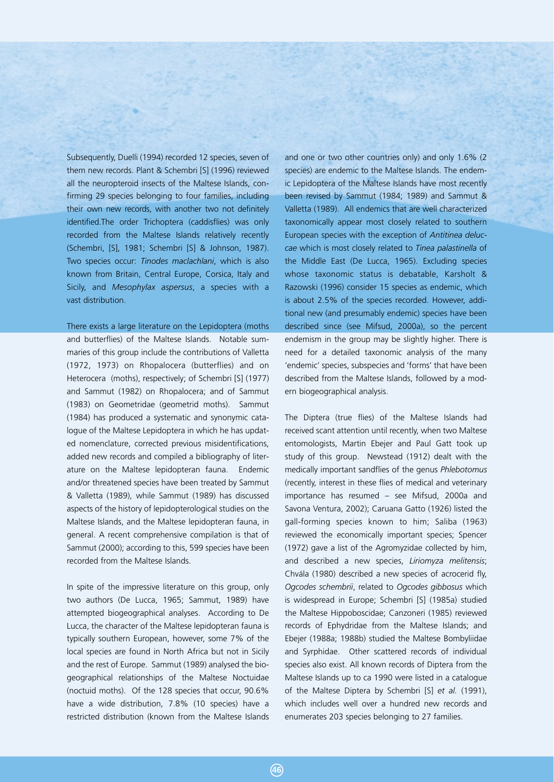Subsequently, Duelli (1994) recorded 12 species, seven of them new records. Plant & Schembri [S] (1996) reviewed all the neuropteroid insects of the Maltese Islands, confirming 29 species belonging to four families, including their own new records, with another two not definitely identified.The order Trichoptera (caddisflies) was only recorded from the Maltese Islands relatively recently (Schembri, [S], 1981; Schembri [S] & Johnson, 1987). Two species occur: *Tinodes maclachlani*, which is also known from Britain, Central Europe, Corsica, Italy and Sicily, and *Mesophylax aspersus*, a species with a vast distribution.

There exists a large literature on the Lepidoptera (moths and butterflies) of the Maltese Islands. Notable summaries of this group include the contributions of Valletta (1972, 1973) on Rhopalocera (butterflies) and on Heterocera (moths), respectively; of Schembri [S] (1977) and Sammut (1982) on Rhopalocera; and of Sammut (1983) on Geometridae (geometrid moths). Sammut (1984) has produced a systematic and synonymic catalogue of the Maltese Lepidoptera in which he has updated nomenclature, corrected previous misidentifications, added new records and compiled a bibliography of literature on the Maltese lepidopteran fauna. Endemic and/or threatened species have been treated by Sammut & Valletta (1989), while Sammut (1989) has discussed aspects of the history of lepidopterological studies on the Maltese Islands, and the Maltese lepidopteran fauna, in general. A recent comprehensive compilation is that of Sammut (2000); according to this, 599 species have been recorded from the Maltese Islands.

In spite of the impressive literature on this group, only two authors (De Lucca, 1965; Sammut, 1989) have attempted biogeographical analyses. According to De Lucca, the character of the Maltese lepidopteran fauna is typically southern European, however, some 7% of the local species are found in North Africa but not in Sicily and the rest of Europe. Sammut (1989) analysed the biogeographical relationships of the Maltese Noctuidae (noctuid moths). Of the 128 species that occur, 90.6% have a wide distribution, 7.8% (10 species) have a restricted distribution (known from the Maltese Islands

and one or two other countries only) and only 1.6% (2 species) are endemic to the Maltese Islands. The endemic Lepidoptera of the Maltese Islands have most recently been revised by Sammut (1984; 1989) and Sammut & Valletta (1989). All endemics that are well characterized taxonomically appear most closely related to southern European species with the exception of *Antitinea deluccae* which is most closely related to *Tinea palastinella* of the Middle East (De Lucca, 1965). Excluding species whose taxonomic status is debatable, Karsholt & Razowski (1996) consider 15 species as endemic, which is about 2.5% of the species recorded. However, additional new (and presumably endemic) species have been described since (see Mifsud, 2000a), so the percent endemism in the group may be slightly higher. There is need for a detailed taxonomic analysis of the many 'endemic' species, subspecies and 'forms' that have been described from the Maltese Islands, followed by a modern biogeographical analysis.

The Diptera (true flies) of the Maltese Islands had received scant attention until recently, when two Maltese entomologists, Martin Ebejer and Paul Gatt took up study of this group. Newstead (1912) dealt with the medically important sandflies of the genus *Phlebotomus* (recently, interest in these flies of medical and veterinary importance has resumed – see Mifsud, 2000a and Savona Ventura, 2002); Caruana Gatto (1926) listed the gall-forming species known to him; Saliba (1963) reviewed the economically important species; Spencer (1972) gave a list of the Agromyzidae collected by him, and described a new species, *Liriomyza melitensis*; Chvála (1980) described a new species of acrocerid fly, *Ogcodes schembrii*, related to *Ogcodes gibbosus* which is widespread in Europe; Schembri [S] (1985a) studied the Maltese Hippoboscidae; Canzoneri (1985) reviewed records of Ephydridae from the Maltese Islands; and Ebejer (1988a; 1988b) studied the Maltese Bombyliidae and Syrphidae. Other scattered records of individual species also exist. All known records of Diptera from the Maltese Islands up to ca 1990 were listed in a catalogue of the Maltese Diptera by Schembri [S] *et al.* (1991), which includes well over a hundred new records and enumerates 203 species belonging to 27 families.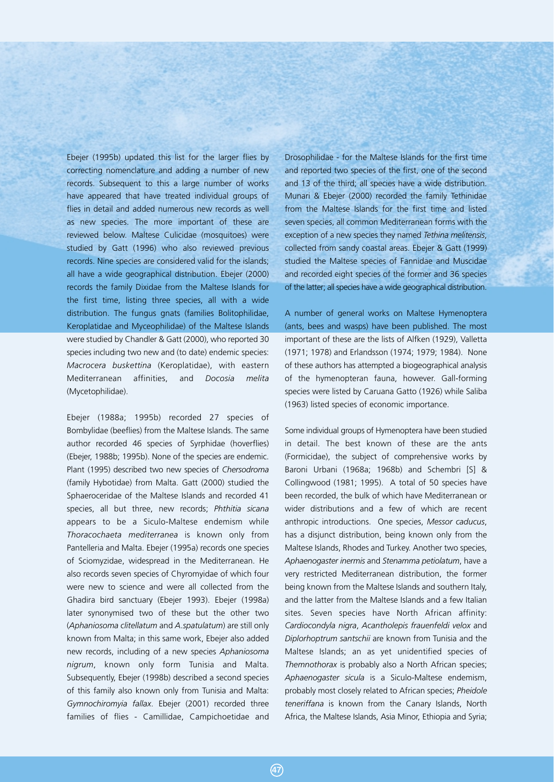Ebejer (1995b) updated this list for the larger flies by correcting nomenclature and adding a number of new records. Subsequent to this a large number of works have appeared that have treated individual groups of flies in detail and added numerous new records as well as new species. The more important of these are reviewed below. Maltese Culicidae (mosquitoes) were studied by Gatt (1996) who also reviewed previous records. Nine species are considered valid for the islands; all have a wide geographical distribution. Ebejer (2000) records the family Dixidae from the Maltese Islands for the first time, listing three species, all with a wide distribution. The fungus gnats (families Bolitophilidae, Keroplatidae and Myceophilidae) of the Maltese Islands were studied by Chandler & Gatt (2000), who reported 30 species including two new and (to date) endemic species: *Macrocera buskettina* (Keroplatidae), with eastern Mediterranean affinities, and *Docosia melita* (Mycetophilidae).

Ebejer (1988a; 1995b) recorded 27 species of Bombylidae (beeflies) from the Maltese Islands. The same author recorded 46 species of Syrphidae (hoverflies) (Ebejer, 1988b; 1995b). None of the species are endemic. Plant (1995) described two new species of *Chersodroma* (family Hybotidae) from Malta. Gatt (2000) studied the Sphaeroceridae of the Maltese Islands and recorded 41 species, all but three, new records; *Phthitia sicana* appears to be a Siculo-Maltese endemism while *Thoracochaeta mediterranea* is known only from Pantelleria and Malta. Ebejer (1995a) records one species of Sciomyzidae, widespread in the Mediterranean. He also records seven species of Chyromyidae of which four were new to science and were all collected from the Ghadira bird sanctuary (Ebejer 1993). Ebejer (1998a) later synonymised two of these but the other two (*Aphaniosoma clitellatum* and *A.spatulatum*) are still only known from Malta; in this same work, Ebejer also added new records, including of a new species *Aphaniosoma nigrum*, known only form Tunisia and Malta. Subsequently, Ebejer (1998b) described a second species of this family also known only from Tunisia and Malta: *Gymnochiromyia fallax*. Ebejer (2001) recorded three families of flies - Camillidae, Campichoetidae and Drosophilidae - for the Maltese Islands for the first time and reported two species of the first, one of the second and 13 of the third; all species have a wide distribution. Munari & Ebejer (2000) recorded the family Tethinidae from the Maltese Islands for the first time and listed seven species, all common Mediterranean forms with the exception of a new species they named *Tethina melitensis*, collected from sandy coastal areas. Ebejer & Gatt (1999) studied the Maltese species of Fannidae and Muscidae and recorded eight species of the former and 36 species of the latter; all species have a wide geographical distribution.

A number of general works on Maltese Hymenoptera (ants, bees and wasps) have been published. The most important of these are the lists of Alfken (1929), Valletta (1971; 1978) and Erlandsson (1974; 1979; 1984). None of these authors has attempted a biogeographical analysis of the hymenopteran fauna, however. Gall-forming species were listed by Caruana Gatto (1926) while Saliba (1963) listed species of economic importance.

Some individual groups of Hymenoptera have been studied in detail. The best known of these are the ants (Formicidae), the subject of comprehensive works by Baroni Urbani (1968a; 1968b) and Schembri [S] & Collingwood (1981; 1995). A total of 50 species have been recorded, the bulk of which have Mediterranean or wider distributions and a few of which are recent anthropic introductions. One species, *Messor caducus*, has a disjunct distribution, being known only from the Maltese Islands, Rhodes and Turkey. Another two species, *Aphaenogaster inermis* and *Stenamma petiolatum*, have a very restricted Mediterranean distribution, the former being known from the Maltese Islands and southern Italy, and the latter from the Maltese Islands and a few Italian sites. Seven species have North African affinity: *Cardiocondyla nigra*, *Acantholepis frauenfeldi velox* and *Diplorhoptrum santschii* are known from Tunisia and the Maltese Islands; an as yet unidentified species of *Themnothorax* is probably also a North African species; *Aphaenogaster sicula* is a Siculo-Maltese endemism, probably most closely related to African species; *Pheidole teneriffana* is known from the Canary Islands, North Africa, the Maltese Islands, Asia Minor, Ethiopia and Syria;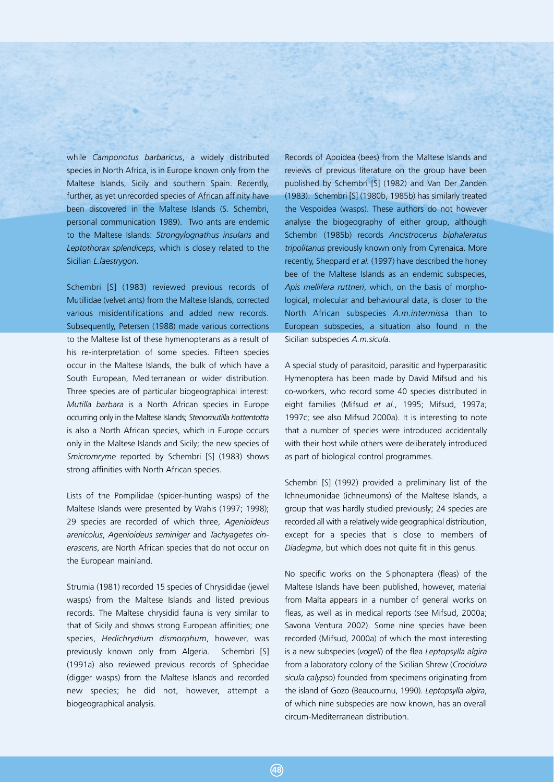while *Camponotus barbaricus*, a widely distributed species in North Africa, is in Europe known only from the Maltese Islands, Sicily and southern Spain. Recently, further, as yet unrecorded species of African affinity have been discovered in the Maltese Islands (S. Schembri, personal communication 1989). Two ants are endemic to the Maltese Islands: *Strongylognathus insularis* and *Leptothorax splendiceps*, which is closely related to the Sicilian *L.laestrygon*.

Schembri [S] (1983) reviewed previous records of Mutillidae (velvet ants) from the Maltese Islands, corrected various misidentifications and added new records. Subsequently, Petersen (1988) made various corrections to the Maltese list of these hymenopterans as a result of his re-interpretation of some species. Fifteen species occur in the Maltese Islands, the bulk of which have a South European, Mediterranean or wider distribution. Three species are of particular biogeographical interest: *Mutilla barbara* is a North African species in Europe occurring only in the Maltese Islands; *Stenomutilla hottentotta* is also a North African species, which in Europe occurs only in the Maltese Islands and Sicily; the new species of *Smicromryme* reported by Schembri [S] (1983) shows strong affinities with North African species.

Lists of the Pompilidae (spider-hunting wasps) of the Maltese Islands were presented by Wahis (1997; 1998); 29 species are recorded of which three, *Agenioideus arenicolus*, *Agenioideus seminiger* and *Tachyagetes cinerascens*, are North African species that do not occur on the European mainland.

Strumia (1981) recorded 15 species of Chrysididae (jewel wasps) from the Maltese Islands and listed previous records. The Maltese chrysidid fauna is very similar to that of Sicily and shows strong European affinities; one species, *Hedichrydium dismorphum*, however, was previously known only from Algeria. Schembri [S] (1991a) also reviewed previous records of Sphecidae (digger wasps) from the Maltese Islands and recorded new species; he did not, however, attempt a biogeographical analysis.

Records of Apoidea (bees) from the Maltese Islands and reviews of previous literature on the group have been published by Schembri [S] (1982) and Van Der Zanden (1983). Schembri [S] (1980b, 1985b) has similarly treated the Vespoidea (wasps). These authors do not however analyse the biogeography of either group, although Schembri (1985b) records *Ancistrocerus biphaleratus tripolitanus* previously known only from Cyrenaica. More recently, Sheppard *et al.* (1997) have described the honey bee of the Maltese Islands as an endemic subspecies, *Apis mellifera ruttneri*, which, on the basis of morphological, molecular and behavioural data, is closer to the North African subspecies *A.m.intermissa* than to European subspecies, a situation also found in the Sicilian subspecies *A.m.sicula*.

A special study of parasitoid, parasitic and hyperparasitic Hymenoptera has been made by David Mifsud and his co-workers, who record some 40 species distributed in eight families (Mifsud *et al.*, 1995; Mifsud, 1997a; 1997c; see also Mifsud 2000a). It is interesting to note that a number of species were introduced accidentally with their host while others were deliberately introduced as part of biological control programmes.

Schembri [S] (1992) provided a preliminary list of the Ichneumonidae (ichneumons) of the Maltese Islands, a group that was hardly studied previously; 24 species are recorded all with a relatively wide geographical distribution, except for a species that is close to members of *Diadegma*, but which does not quite fit in this genus.

No specific works on the Siphonaptera (fleas) of the Maltese Islands have been published, however, material from Malta appears in a number of general works on fleas, as well as in medical reports (see Mifsud, 2000a; Savona Ventura 2002). Some nine species have been recorded (Mifsud, 2000a) of which the most interesting is a new subspecies (*vogeli*) of the flea *Leptopsylla algira* from a laboratory colony of the Sicilian Shrew (*Crocidura sicula calypso*) founded from specimens originating from the island of Gozo (Beaucournu, 1990). *Leptopsylla algira*, of which nine subspecies are now known, has an overall circum-Mediterranean distribution.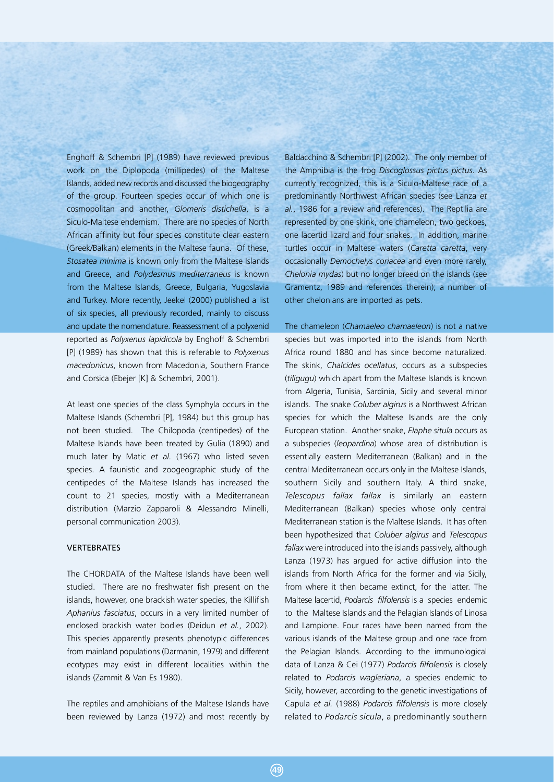Enghoff & Schembri [P] (1989) have reviewed previous work on the Diplopoda (millipedes) of the Maltese Islands, added new records and discussed the biogeography of the group. Fourteen species occur of which one is cosmopolitan and another, *Glomeris distichella*, is a Siculo-Maltese endemism. There are no species of North African affinity but four species constitute clear eastern (Greek/Balkan) elements in the Maltese fauna. Of these, *Stosatea minima* is known only from the Maltese Islands and Greece, and *Polydesmus mediterraneus* is known from the Maltese Islands, Greece, Bulgaria, Yugoslavia and Turkey. More recently, Jeekel (2000) published a list of six species, all previously recorded, mainly to discuss and update the nomenclature. Reassessment of a polyxenid reported as *Polyxenus lapidicola* by Enghoff & Schembri [P] (1989) has shown that this is referable to *Polyxenus macedonicus*, known from Macedonia, Southern France and Corsica (Ebejer [K] & Schembri, 2001).

At least one species of the class Symphyla occurs in the Maltese Islands (Schembri [P], 1984) but this group has not been studied. The Chilopoda (centipedes) of the Maltese Islands have been treated by Gulia (1890) and much later by Matic *et al.* (1967) who listed seven species. A faunistic and zoogeographic study of the centipedes of the Maltese Islands has increased the count to 21 species, mostly with a Mediterranean distribution (Marzio Zapparoli & Alessandro Minelli, personal communication 2003).

## VERTEBRATES

The CHORDATA of the Maltese Islands have been well studied. There are no freshwater fish present on the islands, however, one brackish water species, the Killifish *Aphanius fasciatus*, occurs in a very limited number of enclosed brackish water bodies (Deidun *et al.*, 2002). This species apparently presents phenotypic differences from mainland populations (Darmanin, 1979) and different ecotypes may exist in different localities within the islands (Zammit & Van Es 1980).

The reptiles and amphibians of the Maltese Islands have been reviewed by Lanza (1972) and most recently by Baldacchino & Schembri [P] (2002). The only member of the Amphibia is the frog *Discoglossus pictus pictus*. As currently recognized, this is a Siculo-Maltese race of a predominantly Northwest African species (see Lanza *et al.*, 1986 for a review and references). The Reptilia are represented by one skink, one chameleon, two geckoes, one lacertid lizard and four snakes. In addition, marine turtles occur in Maltese waters (*Caretta caretta*, very occasionally *Demochelys coriacea* and even more rarely, *Chelonia mydas*) but no longer breed on the islands (see Gramentz, 1989 and references therein); a number of other chelonians are imported as pets.

The chameleon (*Chamaeleo chamaeleon*) is not a native species but was imported into the islands from North Africa round 1880 and has since become naturalized. The skink, *Chalcides ocellatus*, occurs as a subspecies (*tiligugu*) which apart from the Maltese Islands is known from Algeria, Tunisia, Sardinia, Sicily and several minor islands. The snake *Coluber algirus* is a Northwest African species for which the Maltese Islands are the only European station. Another snake, *Elaphe situla* occurs as a subspecies (*leopardina*) whose area of distribution is essentially eastern Mediterranean (Balkan) and in the central Mediterranean occurs only in the Maltese Islands, southern Sicily and southern Italy. A third snake, *Telescopus fallax fallax* is similarly an eastern Mediterranean (Balkan) species whose only central Mediterranean station is the Maltese Islands. It has often been hypothesized that *Coluber algirus* and *Telescopus fallax* were introduced into the islands passively, although Lanza (1973) has argued for active diffusion into the islands from North Africa for the former and via Sicily, from where it then became extinct, for the latter. The Maltese lacertid, *Podarcis filfolensis* is a species endemic to the Maltese Islands and the Pelagian Islands of Linosa and Lampione. Four races have been named from the various islands of the Maltese group and one race from the Pelagian Islands. According to the immunological data of Lanza & Cei (1977) *Podarcis filfolensis* is closely related to *Podarcis wagleriana*, a species endemic to Sicily, however, according to the genetic investigations of Capula *et al.* (1988) *Podarcis filfolensis* is more closely related to *Podarcis sicula*, a predominantly southern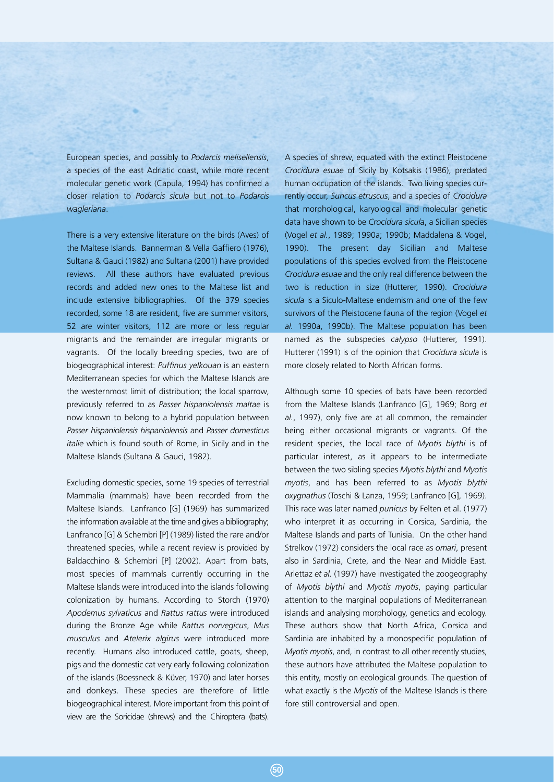European species, and possibly to *Podarcis melisellensis*, a species of the east Adriatic coast, while more recent molecular genetic work (Capula, 1994) has confirmed a closer relation to *Podarcis sicula* but not to *Podarcis wagleriana*.

There is a very extensive literature on the birds (Aves) of the Maltese Islands. Bannerman & Vella Gaffiero (1976), Sultana & Gauci (1982) and Sultana (2001) have provided reviews. All these authors have evaluated previous records and added new ones to the Maltese list and include extensive bibliographies. Of the 379 species recorded, some 18 are resident, five are summer visitors, 52 are winter visitors, 112 are more or less regular migrants and the remainder are irregular migrants or vagrants. Of the locally breeding species, two are of biogeographical interest: *Puffinus yelkouan* is an eastern Mediterranean species for which the Maltese Islands are the westernmost limit of distribution; the local sparrow, previously referred to as *Passer hispaniolensis maltae* is now known to belong to a hybrid population between *Passer hispaniolensis hispaniolensis* and *Passer domesticus italie* which is found south of Rome, in Sicily and in the Maltese Islands (Sultana & Gauci, 1982).

Excluding domestic species, some 19 species of terrestrial Mammalia (mammals) have been recorded from the Maltese Islands. Lanfranco [G] (1969) has summarized the information available at the time and gives a bibliography; Lanfranco [G] & Schembri [P] (1989) listed the rare and/or threatened species, while a recent review is provided by Baldacchino & Schembri [P] (2002). Apart from bats, most species of mammals currently occurring in the Maltese Islands were introduced into the islands following colonization by humans. According to Storch (1970) *Apodemus sylvaticus* and *Rattus rattus* were introduced during the Bronze Age while *Rattus norvegicus*, *Mus musculus* and *Atelerix algirus* were introduced more recently. Humans also introduced cattle, goats, sheep, pigs and the domestic cat very early following colonization of the islands (Boessneck & Küver, 1970) and later horses and donkeys. These species are therefore of little biogeographical interest. More important from this point of view are the Soricidae (shrews) and the Chiroptera (bats).

A species of shrew, equated with the extinct Pleistocene *Crocidura esuae* of Sicily by Kotsakis (1986), predated human occupation of the islands. Two living species currently occur, *Suncus etruscus*, and a species of *Crocidura* that morphological, karyological and molecular genetic data have shown to be *Crocidura sicula*, a Sicilian species (Vogel *et al.*, 1989; 1990a; 1990b; Maddalena & Vogel, 1990). The present day Sicilian and Maltese populations of this species evolved from the Pleistocene *Crocidura esuae* and the only real difference between the two is reduction in size (Hutterer, 1990). *Crocidura sicula* is a Siculo-Maltese endemism and one of the few survivors of the Pleistocene fauna of the region (Vogel *et al.* 1990a, 1990b). The Maltese population has been named as the subspecies *calypso* (Hutterer, 1991). Hutterer (1991) is of the opinion that *Crocidura sicula* is more closely related to North African forms.

Although some 10 species of bats have been recorded from the Maltese Islands (Lanfranco [G], 1969; Borg *et al.*, 1997), only five are at all common, the remainder being either occasional migrants or vagrants. Of the resident species, the local race of *Myotis blythi* is of particular interest, as it appears to be intermediate between the two sibling species *Myotis blythi* and *Myotis myotis*, and has been referred to as *Myotis blythi oxygnathus* (Toschi & Lanza, 1959; Lanfranco [G], 1969). This race was later named *punicus* by Felten et al. (1977) who interpret it as occurring in Corsica, Sardinia, the Maltese Islands and parts of Tunisia. On the other hand Strelkov (1972) considers the local race as *omari*, present also in Sardinia, Crete, and the Near and Middle East. Arlettaz *et al.* (1997) have investigated the zoogeography of *Myotis blythi* and *Myotis myotis*, paying particular attention to the marginal populations of Mediterranean islands and analysing morphology, genetics and ecology. These authors show that North Africa, Corsica and Sardinia are inhabited by a monospecific population of *Myotis myotis*, and, in contrast to all other recently studies, these authors have attributed the Maltese population to this entity, mostly on ecological grounds. The question of what exactly is the *Myotis* of the Maltese Islands is there fore still controversial and open.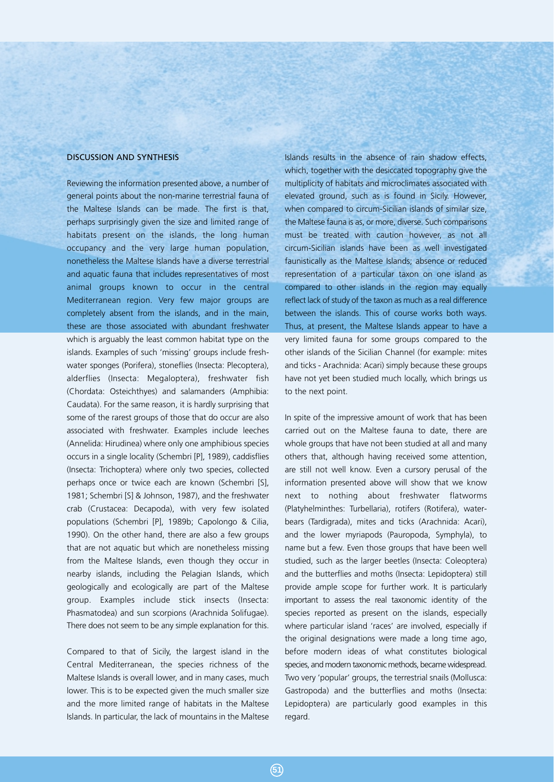## DISCUSSION AND SYNTHESIS

Reviewing the information presented above, a number of general points about the non-marine terrestrial fauna of the Maltese Islands can be made. The first is that, perhaps surprisingly given the size and limited range of habitats present on the islands, the long human occupancy and the very large human population, nonetheless the Maltese Islands have a diverse terrestrial and aquatic fauna that includes representatives of most animal groups known to occur in the central Mediterranean region. Very few major groups are completely absent from the islands, and in the main, these are those associated with abundant freshwater which is arguably the least common habitat type on the islands. Examples of such 'missing' groups include freshwater sponges (Porifera), stoneflies (Insecta: Plecoptera), alderflies (Insecta: Megaloptera), freshwater fish (Chordata: Osteichthyes) and salamanders (Amphibia: Caudata). For the same reason, it is hardly surprising that some of the rarest groups of those that do occur are also associated with freshwater. Examples include leeches (Annelida: Hirudinea) where only one amphibious species occurs in a single locality (Schembri [P], 1989), caddisflies (Insecta: Trichoptera) where only two species, collected perhaps once or twice each are known (Schembri [S], 1981; Schembri [S] & Johnson, 1987), and the freshwater crab (Crustacea: Decapoda), with very few isolated populations (Schembri [P], 1989b; Capolongo & Cilia, 1990). On the other hand, there are also a few groups that are not aquatic but which are nonetheless missing from the Maltese Islands, even though they occur in nearby islands, including the Pelagian Islands, which geologically and ecologically are part of the Maltese group. Examples include stick insects (Insecta: Phasmatodea) and sun scorpions (Arachnida Solifugae). There does not seem to be any simple explanation for this.

Compared to that of Sicily, the largest island in the Central Mediterranean, the species richness of the Maltese Islands is overall lower, and in many cases, much lower. This is to be expected given the much smaller size and the more limited range of habitats in the Maltese Islands. In particular, the lack of mountains in the Maltese

Islands results in the absence of rain shadow effects, which, together with the desiccated topography give the multiplicity of habitats and microclimates associated with elevated ground, such as is found in Sicily. However, when compared to circum-Sicilian islands of similar size, the Maltese fauna is as, or more, diverse. Such comparisons must be treated with caution however, as not all circum-Sicilian islands have been as well investigated faunistically as the Maltese Islands; absence or reduced representation of a particular taxon on one island as compared to other islands in the region may equally reflect lack of study of the taxon as much as a real difference between the islands. This of course works both ways. Thus, at present, the Maltese Islands appear to have a very limited fauna for some groups compared to the other islands of the Sicilian Channel (for example: mites and ticks - Arachnida: Acari) simply because these groups have not yet been studied much locally, which brings us to the next point.

In spite of the impressive amount of work that has been carried out on the Maltese fauna to date, there are whole groups that have not been studied at all and many others that, although having received some attention, are still not well know. Even a cursory perusal of the information presented above will show that we know next to nothing about freshwater flatworms (Platyhelminthes: Turbellaria), rotifers (Rotifera), waterbears (Tardigrada), mites and ticks (Arachnida: Acari), and the lower myriapods (Pauropoda, Symphyla), to name but a few. Even those groups that have been well studied, such as the larger beetles (Insecta: Coleoptera) and the butterflies and moths (Insecta: Lepidoptera) still provide ample scope for further work. It is particularly important to assess the real taxonomic identity of the species reported as present on the islands, especially where particular island 'races' are involved, especially if the original designations were made a long time ago, before modern ideas of what constitutes biological species, and modern taxonomic methods, became widespread. Two very 'popular' groups, the terrestrial snails (Mollusca: Gastropoda) and the butterflies and moths (Insecta: Lepidoptera) are particularly good examples in this regard.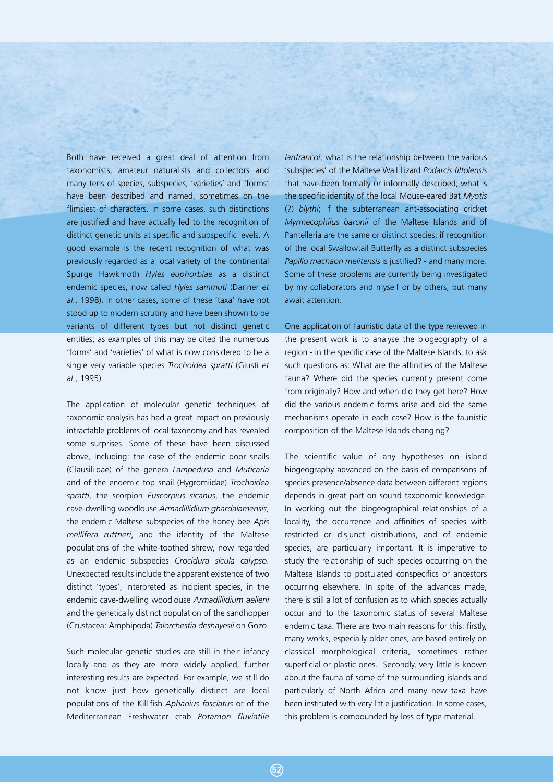Both have received a great deal of attention from taxonomists, amateur naturalists and collectors and many tens of species, subspecies, 'varieties' and 'forms' have been described and named, sometimes on the flimsiest of characters. In some cases, such distinctions are justified and have actually led to the recognition of distinct genetic units at specific and subspecific levels. A good example is the recent recognition of what was previously regarded as a local variety of the continental Spurge Hawkmoth *Hyles euphorbiae* as a distinct endemic species, now called *Hyles sammuti* (Danner *et al.*, 1998). In other cases, some of these 'taxa' have not stood up to modern scrutiny and have been shown to be variants of different types but not distinct genetic entities; as examples of this may be cited the numerous 'forms' and 'varieties' of what is now considered to be a single very variable species *Trochoidea spratti* (Giusti *et al.*, 1995).

The application of molecular genetic techniques of taxonomic analysis has had a great impact on previously intractable problems of local taxonomy and has revealed some surprises. Some of these have been discussed above, including: the case of the endemic door snails (Clausiliidae) of the genera *Lampedusa* and *Muticaria* and of the endemic top snail (Hygromiidae) *Trochoidea spratti*, the scorpion *Euscorpius sicanus*, the endemic cave-dwelling woodlouse *Armadillidium ghardalamensis*, the endemic Maltese subspecies of the honey bee *Apis mellifera ruttneri*, and the identity of the Maltese populations of the white-toothed shrew, now regarded as an endemic subspecies *Crocidura sicula calypso*. Unexpected results include the apparent existence of two distinct 'types', interpreted as incipient species, in the endemic cave-dwelling woodlouse *Armadillidium aelleni* and the genetically distinct population of the sandhopper (Crustacea: Amphipoda) *Talorchestia deshayesii* on Gozo.

Such molecular genetic studies are still in their infancy locally and as they are more widely applied, further interesting results are expected. For example, we still do not know just how genetically distinct are local populations of the Killifish *Aphanius fasciatus* or of the Mediterranean Freshwater crab *Potamon fluviatile*

*lanfrancoi*; what is the relationship between the various 'subspecies' of the Maltese Wall Lizard *Podarcis filfolensis* that have been formally or informally described; what is the specific identity of the local Mouse-eared Bat *Myotis* (?) *blythi*; if the subterranean ant-associating cricket *Myrmecophilus baronii* of the Maltese Islands and of Pantelleria are the same or distinct species; if recognition of the local Swallowtail Butterfly as a distinct subspecies *Papilio machaon melitensis* is justified? - and many more. Some of these problems are currently being investigated by my collaborators and myself or by others, but many await attention.

# One application of faunistic data of the type reviewed in the present work is to analyse the biogeography of a region - in the specific case of the Maltese Islands, to ask such questions as: What are the affinities of the Maltese fauna? Where did the species currently present come from originally? How and when did they get here? How

did the various endemic forms arise and did the same mechanisms operate in each case? How is the faunistic composition of the Maltese Islands changing?

The scientific value of any hypotheses on island biogeography advanced on the basis of comparisons of species presence/absence data between different regions depends in great part on sound taxonomic knowledge. In working out the biogeographical relationships of a locality, the occurrence and affinities of species with restricted or disjunct distributions, and of endemic species, are particularly important. It is imperative to study the relationship of such species occurring on the Maltese Islands to postulated conspecifics or ancestors occurring elsewhere. In spite of the advances made, there is still a lot of confusion as to which species actually occur and to the taxonomic status of several Maltese endemic taxa. There are two main reasons for this: firstly, many works, especially older ones, are based entirely on classical morphological criteria, sometimes rather superficial or plastic ones. Secondly, very little is known about the fauna of some of the surrounding islands and particularly of North Africa and many new taxa have been instituted with very little justification. In some cases, this problem is compounded by loss of type material.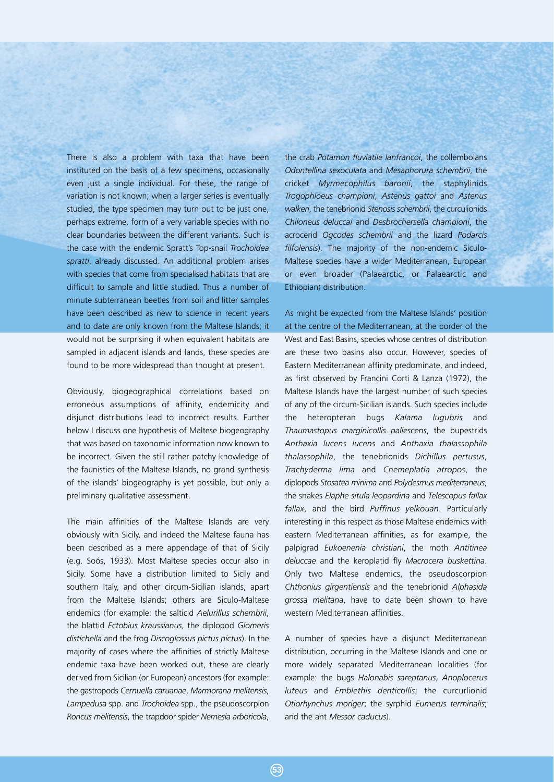There is also a problem with taxa that have been instituted on the basis of a few specimens, occasionally even just a single individual. For these, the range of variation is not known; when a larger series is eventually studied, the type specimen may turn out to be just one, perhaps extreme, form of a very variable species with no clear boundaries between the different variants. Such is the case with the endemic Spratt's Top-snail *Trochoidea spratti*, already discussed. An additional problem arises with species that come from specialised habitats that are difficult to sample and little studied. Thus a number of minute subterranean beetles from soil and litter samples have been described as new to science in recent years and to date are only known from the Maltese Islands; it would not be surprising if when equivalent habitats are sampled in adjacent islands and lands, these species are found to be more widespread than thought at present.

Obviously, biogeographical correlations based on erroneous assumptions of affinity, endemicity and disjunct distributions lead to incorrect results. Further below I discuss one hypothesis of Maltese biogeography that was based on taxonomic information now known to be incorrect. Given the still rather patchy knowledge of the faunistics of the Maltese Islands, no grand synthesis of the islands' biogeography is yet possible, but only a preliminary qualitative assessment.

The main affinities of the Maltese Islands are very obviously with Sicily, and indeed the Maltese fauna has been described as a mere appendage of that of Sicily (e.g. Soós, 1933). Most Maltese species occur also in Sicily. Some have a distribution limited to Sicily and southern Italy, and other circum-Sicilian islands, apart from the Maltese Islands; others are Siculo-Maltese endemics (for example: the salticid *Aelurillus schembrii*, the blattid *Ectobius kraussianus*, the diplopod *Glomeris distichella* and the frog *Discoglossus pictus pictus*). In the majority of cases where the affinities of strictly Maltese endemic taxa have been worked out, these are clearly derived from Sicilian (or European) ancestors (for example: the gastropods *Cernuella caruanae*, *Marmorana melitensis*, *Lampedusa* spp. and *Trochoidea* spp., the pseudoscorpion *Roncus melitensis*, the trapdoor spider *Nemesia arboricola*,

the crab *Potamon fluviatile lanfrancoi*, the collembolans *Odontellina sexoculata* and *Mesaphorura schembrii*, the cricket *Myrmecophilus baronii*, the staphylinids *Trogophloeus championi*, *Astenus gattoi* and *Astenus walkeri*, the tenebrionid *Stenosis schembrii*, the curculionids *Chiloneus deluccai* and *Desbrochersella championi*, the acrocerid *Ogcodes schembrii* and the lizard *Podarcis filfolensis*). The majority of the non-endemic Siculo-Maltese species have a wider Mediterranean, European or even broader (Palaearctic, or Palaearctic and Ethiopian) distribution.

As might be expected from the Maltese Islands' position at the centre of the Mediterranean, at the border of the West and East Basins, species whose centres of distribution are these two basins also occur. However, species of Eastern Mediterranean affinity predominate, and indeed, as first observed by Francini Corti & Lanza (1972), the Maltese Islands have the largest number of such species of any of the circum-Sicilian islands. Such species include the heteropteran bugs *Kalama lugubris* and *Thaumastopus marginicollis pallescens*, the bupestrids *Anthaxia lucens lucens* and *Anthaxia thalassophila thalassophila*, the tenebrionids *Dichillus pertusus*, *Trachyderma lima* and *Cnemeplatia atropos*, the diplopods *Stosatea minima* and *Polydesmus mediterraneus*, the snakes *Elaphe situla leopardina* and *Telescopus fallax fallax*, and the bird *Puffinus yelkouan*. Particularly interesting in this respect as those Maltese endemics with eastern Mediterranean affinities, as for example, the palpigrad *Eukoenenia christiani*, the moth *Antitinea deluccae* and the keroplatid fly *Macrocera buskettina*. Only two Maltese endemics, the pseudoscorpion *Chthonius girgentiensis* and the tenebrionid *Alphasida grossa melitana*, have to date been shown to have western Mediterranean affinities.

A number of species have a disjunct Mediterranean distribution, occurring in the Maltese Islands and one or more widely separated Mediterranean localities (for example: the bugs *Halonabis sareptanus*, *Anoplocerus luteus* and *Emblethis denticollis*; the curcurlionid *Otiorhynchus moriger*; the syrphid *Eumerus terminalis*; and the ant *Messor caducus*).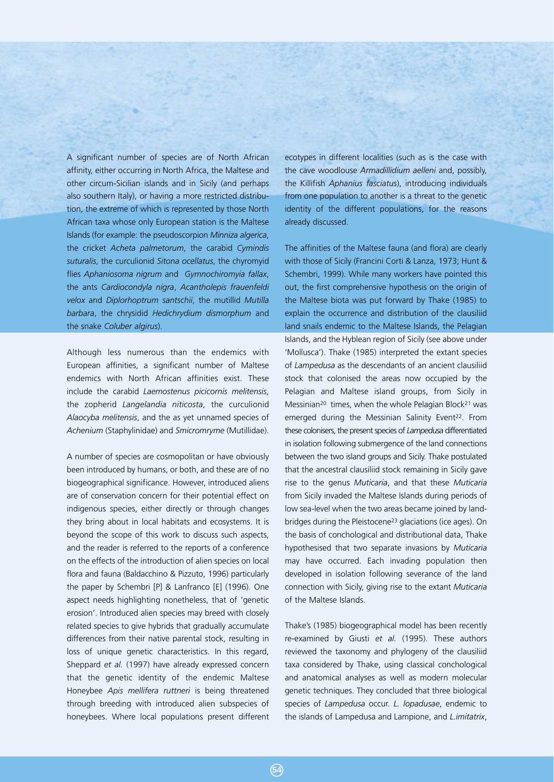A significant number of species are of North African affinity, either occurring in North Africa, the Maltese and other circum-Sicilian islands and in Sicily (and perhaps also southern Italy), or having a more restricted distribution, the extreme of which is represented by those North African taxa whose only European station is the Maltese Islands (for example: the pseudoscorpion *Minniza algerica*, the cricket *Acheta palmetorum*, the carabid *Cymindis suturalis*, the curculionid *Sitona ocellatus*, the chyromyid flies *Aphaniosoma nigrum* and *Gymnochiromyia fallax*, the ants *Cardiocondyla nigra*, *Acantholepis frauenfeldi velox* and *Diplorhoptrum santschii*, the mutillid *Mutilla barbara*, the chrysidid *Hedichrydium dismorphum* and the snake *Coluber algirus*).

Although less numerous than the endemics with European affinities, a significant number of Maltese endemics with North African affinities exist. These include the carabid *Laemostenus picicornis melitensis*, the zopherid *Langelandia niticosta*, the curculionid *Alaocyba melitensis*, and the as yet unnamed species of *Achenium* (Staphylinidae) and *Smicromryme* (Mutillidae).

A number of species are cosmopolitan or have obviously been introduced by humans, or both, and these are of no biogeographical significance. However, introduced aliens are of conservation concern for their potential effect on indigenous species, either directly or through changes they bring about in local habitats and ecosystems. It is beyond the scope of this work to discuss such aspects, and the reader is referred to the reports of a conference on the effects of the introduction of alien species on local flora and fauna (Baldacchino & Pizzuto, 1996) particularly the paper by Schembri [P] & Lanfranco [E] (1996). One aspect needs highlighting nonetheless, that of 'genetic erosion'. Introduced alien species may breed with closely related species to give hybrids that gradually accumulate differences from their native parental stock, resulting in loss of unique genetic characteristics. In this regard, Sheppard *et al.* (1997) have already expressed concern that the genetic identity of the endemic Maltese Honeybee *Apis mellifera ruttneri* is being threatened through breeding with introduced alien subspecies of honeybees. Where local populations present different ecotypes in different localities (such as is the case with the cave woodlouse *Armadillidium aelleni* and, possibly, the Killifish *Aphanius fasciatus*), introducing individuals from one population to another is a threat to the genetic identity of the different populations, for the reasons already discussed.

The affinities of the Maltese fauna (and flora) are clearly with those of Sicily (Francini Corti & Lanza, 1973; Hunt & Schembri, 1999). While many workers have pointed this out, the first comprehensive hypothesis on the origin of the Maltese biota was put forward by Thake (1985) to explain the occurrence and distribution of the clausiliid land snails endemic to the Maltese Islands, the Pelagian Islands, and the Hyblean region of Sicily (see above under 'Mollusca'). Thake (1985) interpreted the extant species of *Lampedusa* as the descendants of an ancient clausiliid stock that colonised the areas now occupied by the Pelagian and Maltese island groups, from Sicily in Messinian<sup>20</sup> times, when the whole Pelagian Block<sup>21</sup> was emerged during the Messinian Salinity Event<sup>22</sup>. From these colonisers, the present species of *Lampedusa* differentiated in isolation following submergence of the land connections between the two island groups and Sicily. Thake postulated that the ancestral clausiliid stock remaining in Sicily gave rise to the genus *Muticaria*, and that these *Muticaria* from Sicily invaded the Maltese Islands during periods of low sea-level when the two areas became joined by landbridges during the Pleistocene23 glaciations (ice ages). On the basis of conchological and distributional data, Thake hypothesised that two separate invasions by *Muticaria* may have occurred. Each invading population then developed in isolation following severance of the land connection with Sicily, giving rise to the extant *Muticaria* of the Maltese Islands.

Thake's (1985) biogeographical model has been recently re-examined by Giusti *et al.* (1995). These authors reviewed the taxonomy and phylogeny of the clausiliid taxa considered by Thake, using classical conchological and anatomical analyses as well as modern molecular genetic techniques. They concluded that three biological species of *Lampedusa* occur. *L. lopadusae*, endemic to the islands of Lampedusa and Lampione, and *L.imitatrix*,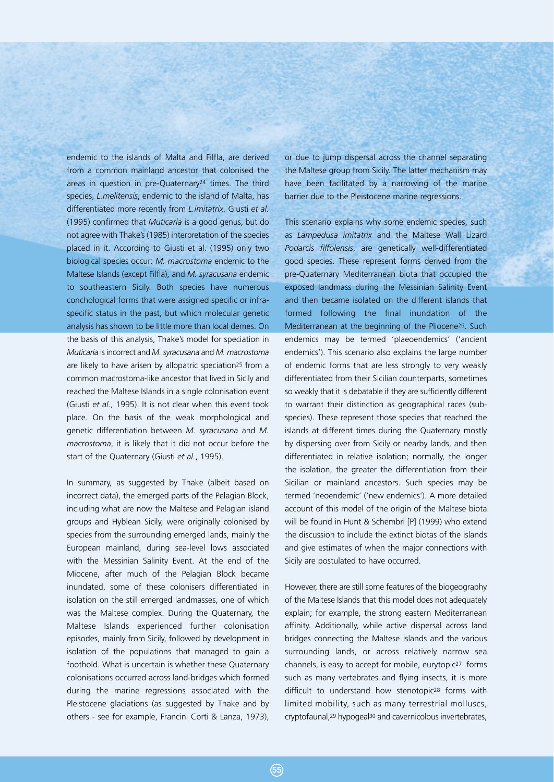endemic to the islands of Malta and Filfla, are derived from a common mainland ancestor that colonised the areas in question in pre-Quaternary24 times. The third species, *L.melitensis*, endemic to the island of Malta, has differentiated more recently from *L.imitatrix*. Giusti *et al.* (1995) confirmed that *Muticaria* is a good genus, but do not agree with Thake's (1985) interpretation of the species placed in it. According to Giusti et al. (1995) only two biological species occur: *M. macrostoma* endemic to the Maltese Islands (except Filfla), and *M. syracusana* endemic to southeastern Sicily. Both species have numerous conchological forms that were assigned specific or infraspecific status in the past, but which molecular genetic analysis has shown to be little more than local demes. On the basis of this analysis, Thake's model for speciation in *Muticaria* is incorrect and *M. syracusana* and *M. macrostoma* are likely to have arisen by allopatric speciation<sup>25</sup> from a common macrostoma-like ancestor that lived in Sicily and reached the Maltese Islands in a single colonisation event (Giusti *et al.*, 1995). It is not clear when this event took place. On the basis of the weak morphological and genetic differentiation between *M. syracusana* and *M. macrostoma*, it is likely that it did not occur before the start of the Quaternary (Giusti *et al.*, 1995).

In summary, as suggested by Thake (albeit based on incorrect data), the emerged parts of the Pelagian Block, including what are now the Maltese and Pelagian island groups and Hyblean Sicily, were originally colonised by species from the surrounding emerged lands, mainly the European mainland, during sea-level lows associated with the Messinian Salinity Event. At the end of the Miocene, after much of the Pelagian Block became inundated, some of these colonisers differentiated in isolation on the still emerged landmasses, one of which was the Maltese complex. During the Quaternary, the Maltese Islands experienced further colonisation episodes, mainly from Sicily, followed by development in isolation of the populations that managed to gain a foothold. What is uncertain is whether these Quaternary colonisations occurred across land-bridges which formed during the marine regressions associated with the Pleistocene glaciations (as suggested by Thake and by others - see for example, Francini Corti & Lanza, 1973),

or due to jump dispersal across the channel separating the Maltese group from Sicily. The latter mechanism may have been facilitated by a narrowing of the marine barrier due to the Pleistocene marine regressions.

This scenario explains why some endemic species, such as *Lampedusa imitatrix* and the Maltese Wall Lizard *Podarcis filfolensis*, are genetically well-differentiated good species. These represent forms derived from the pre-Quaternary Mediterranean biota that occupied the exposed landmass during the Messinian Salinity Event and then became isolated on the different islands that formed following the final inundation of the Mediterranean at the beginning of the Pliocene26. Such endemics may be termed 'plaeoendemics' ('ancient endemics'). This scenario also explains the large number of endemic forms that are less strongly to very weakly differentiated from their Sicilian counterparts, sometimes so weakly that it is debatable if they are sufficiently different to warrant their distinction as geographical races (subspecies). These represent those species that reached the islands at different times during the Quaternary mostly by dispersing over from Sicily or nearby lands, and then differentiated in relative isolation; normally, the longer the isolation, the greater the differentiation from their Sicilian or mainland ancestors. Such species may be termed 'neoendemic' ('new endemics'). A more detailed account of this model of the origin of the Maltese biota will be found in Hunt & Schembri [P] (1999) who extend the discussion to include the extinct biotas of the islands and give estimates of when the major connections with Sicily are postulated to have occurred.

However, there are still some features of the biogeography of the Maltese Islands that this model does not adequately explain; for example, the strong eastern Mediterranean affinity. Additionally, while active dispersal across land bridges connecting the Maltese Islands and the various surrounding lands, or across relatively narrow sea channels, is easy to accept for mobile, eurytopic<sup>27</sup> forms such as many vertebrates and flying insects, it is more difficult to understand how stenotopic<sup>28</sup> forms with limited mobility, such as many terrestrial molluscs, cryptofaunal,<sup>29</sup> hypogeal<sup>30</sup> and cavernicolous invertebrates,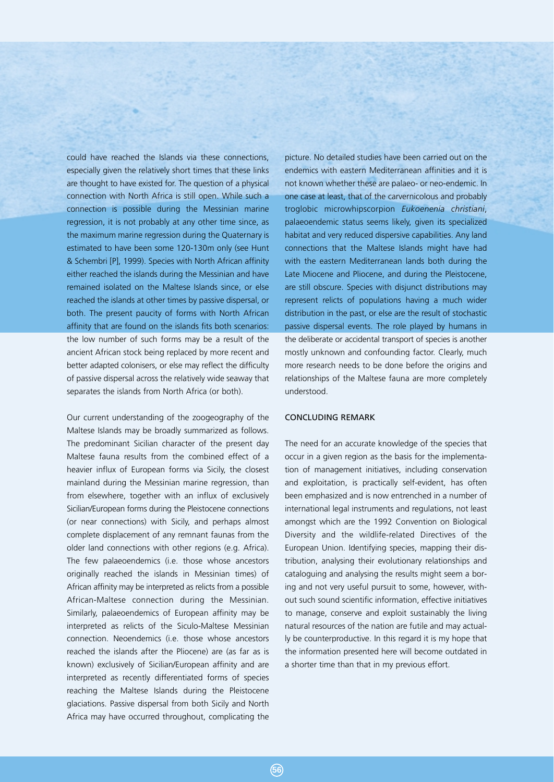could have reached the Islands via these connections, especially given the relatively short times that these links are thought to have existed for. The question of a physical connection with North Africa is still open. While such a connection is possible during the Messinian marine regression, it is not probably at any other time since, as the maximum marine regression during the Quaternary is estimated to have been some 120-130m only (see Hunt & Schembri [P], 1999). Species with North African affinity either reached the islands during the Messinian and have remained isolated on the Maltese Islands since, or else reached the islands at other times by passive dispersal, or both. The present paucity of forms with North African affinity that are found on the islands fits both scenarios: the low number of such forms may be a result of the ancient African stock being replaced by more recent and better adapted colonisers, or else may reflect the difficulty of passive dispersal across the relatively wide seaway that separates the islands from North Africa (or both).

Our current understanding of the zoogeography of the Maltese Islands may be broadly summarized as follows. The predominant Sicilian character of the present day Maltese fauna results from the combined effect of a heavier influx of European forms via Sicily, the closest mainland during the Messinian marine regression, than from elsewhere, together with an influx of exclusively Sicilian/European forms during the Pleistocene connections (or near connections) with Sicily, and perhaps almost complete displacement of any remnant faunas from the older land connections with other regions (e.g. Africa). The few palaeoendemics (i.e. those whose ancestors originally reached the islands in Messinian times) of African affinity may be interpreted as relicts from a possible African-Maltese connection during the Messinian. Similarly, palaeoendemics of European affinity may be interpreted as relicts of the Siculo-Maltese Messinian connection. Neoendemics (i.e. those whose ancestors reached the islands after the Pliocene) are (as far as is known) exclusively of Sicilian/European affinity and are interpreted as recently differentiated forms of species reaching the Maltese Islands during the Pleistocene glaciations. Passive dispersal from both Sicily and North Africa may have occurred throughout, complicating the

picture. No detailed studies have been carried out on the endemics with eastern Mediterranean affinities and it is not known whether these are palaeo- or neo-endemic. In one case at least, that of the carvernicolous and probably troglobic microwhipscorpion *Eukoenenia christiani*, palaeoendemic status seems likely, given its specialized habitat and very reduced dispersive capabilities. Any land connections that the Maltese Islands might have had with the eastern Mediterranean lands both during the Late Miocene and Pliocene, and during the Pleistocene, are still obscure. Species with disjunct distributions may represent relicts of populations having a much wider distribution in the past, or else are the result of stochastic passive dispersal events. The role played by humans in the deliberate or accidental transport of species is another mostly unknown and confounding factor. Clearly, much more research needs to be done before the origins and relationships of the Maltese fauna are more completely understood.

# CONCLUDING REMARK

The need for an accurate knowledge of the species that occur in a given region as the basis for the implementation of management initiatives, including conservation and exploitation, is practically self-evident, has often been emphasized and is now entrenched in a number of international legal instruments and regulations, not least amongst which are the 1992 Convention on Biological Diversity and the wildlife-related Directives of the European Union. Identifying species, mapping their distribution, analysing their evolutionary relationships and cataloguing and analysing the results might seem a boring and not very useful pursuit to some, however, without such sound scientific information, effective initiatives to manage, conserve and exploit sustainably the living natural resources of the nation are futile and may actually be counterproductive. In this regard it is my hope that the information presented here will become outdated in a shorter time than that in my previous effort.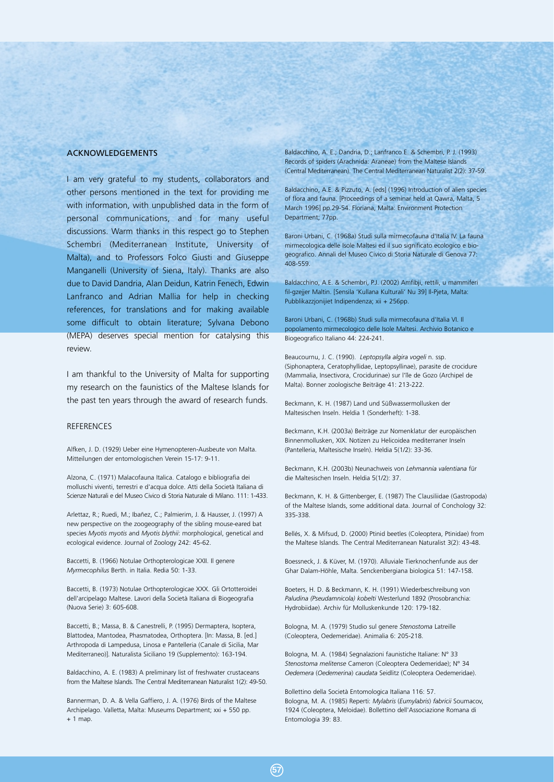# ACKNOWLEDGEMENTS

I am very grateful to my students, collaborators and other persons mentioned in the text for providing me with information, with unpublished data in the form of personal communications, and for many useful discussions. Warm thanks in this respect go to Stephen Schembri (Mediterranean Institute, University of Malta), and to Professors Folco Giusti and Giuseppe Manganelli (University of Siena, Italy). Thanks are also due to David Dandria, Alan Deidun, Katrin Fenech, Edwin Lanfranco and Adrian Mallia for help in checking references, for translations and for making available some difficult to obtain literature; Sylvana Debono (MEPA) deserves special mention for catalysing this review.

I am thankful to the University of Malta for supporting my research on the faunistics of the Maltese Islands for the past ten years through the award of research funds.

# REFERENCES

Alfken, J. D. (1929) Ueber eine Hymenopteren-Ausbeute von Malta. Mitteilungen der entomologischen Verein 15-17: 9-11.

Alzona, C. (1971) Malacofauna Italica. Catalogo e bibliografia dei molluschi viventi, terrestri e d'acqua dolce. Atti della Società Italiana di Scienze Naturali e del Museo Civico di Storia Naturale di Milano. 111: 1-433.

Arlettaz, R.; Ruedi, M.; Ibañez, C.; Palmierim, J. & Hausser, J. (1997) A new perspective on the zoogeography of the sibling mouse-eared bat species *Myotis myotis* and *Myotis blythii*: morphological, genetical and ecological evidence. Journal of Zoology 242: 45-62.

Baccetti, B. (1966) Notulae Orthopterologicae XXII. Il genere *Myrmecophilus* Berth. in Italia. Redia 50: 1-33.

Baccetti, B. (1973) Notulae Orthopterologicae XXX. Gli Ortotteroidei dell'arcipelago Maltese. Lavori della Società Italiana di Biogeografia (Nuova Serie) 3: 605-608.

Baccetti, B.; Massa, B. & Canestrelli, P. (1995) Dermaptera, Isoptera, Blattodea, Mantodea, Phasmatodea, Orthoptera. [In: Massa, B. [ed.] Arthropoda di Lampedusa, Linosa e Pantelleria (Canale di Sicilia, Mar Mediterraneo)]. Naturalista Siciliano 19 (Supplemento): 163-194.

Baldacchino, A. E. (1983) A preliminary list of freshwater crustaceans from the Maltese Islands. The Central Mediterranean Naturalist 1(2): 49-50.

Bannerman, D. A. & Vella Gaffiero, J. A. (1976) Birds of the Maltese Archipelago. Valletta, Malta: Museums Department; xxi + 550 pp.  $+ 1$  map.

Baldacchino, A. E.; Dandria, D.; Lanfranco E. & Schembri, P. J. (1993) Records of spiders (Arachnida: Araneae) from the Maltese Islands (Central Mediterranean). The Central Mediterranean Naturalist 2(2): 37-59.

Baldacchino, A.E. & Pizzuto, A. [eds] (1996) Introduction of alien species of flora and fauna. [Proceedings of a seminar held at Qawra, Malta, 5 March 1996] pp.29-54. Floriana, Malta: Environment Protection Department; 77pp.

Baroni Urbani, C. (1968a) Studi sulla mirmecofauna d'Italia IV. La fauna mirmecologica delle Isole Maltesi ed il suo significato ecologico e biogeografico. Annali del Museo Civico di Storia Naturale di Genova 77: 408-559.

Baldacchino, A.E. & Schembri, P.J. (2002) Amfibji, rettili, u mammiferi fil-gzejjer Maltin. [Sensila 'Kullana Kulturali' Nu 39] Il-Pjeta, Malta: Pubblikazzjonijiet Indipendenza; xii + 256pp.

Baroni Urbani, C. (1968b) Studi sulla mirmecofauna d'Italia VI. Il popolamento mirmecologico delle Isole Maltesi. Archivio Botanico e Biogeografico Italiano 44: 224-241.

Beaucournu, J. C. (1990). *Leptopsylla algira vogeli* n. ssp. (Siphonaptera, Ceratophyllidae, Leptopsyllinae), parasite de crocidure (Mammalia, Insectivora, Crocidurinae) sur l'île de Gozo (Archipel de Malta). Bonner zoologische Beiträge 41: 213-222.

Beckmann, K. H. (1987) Land und Süßwassermollusken der Maltesischen Inseln. Heldia 1 (Sonderheft): 1-38.

Beckmann, K.H. (2003a) Beiträge zur Nomenklatur der europäischen Binnenmollusken, XIX. Notizen zu Helicoidea mediterraner Inseln (Pantelleria, Maltesische Inseln). Heldia 5(1/2): 33-36.

Beckmann, K.H. (2003b) Neunachweis von *Lehmannia valentiana* für die Maltesischen Inseln. Heldia 5(1/2): 37.

Beckmann, K. H. & Gittenberger, E. (1987) The Clausiliidae (Gastropoda) of the Maltese Islands, some additional data. Journal of Conchology 32: 335-338.

Bellés, X. & Mifsud, D. (2000) Ptinid beetles (Coleoptera, Ptinidae) from the Maltese Islands. The Central Mediterranean Naturalist 3(2): 43-48.

Boessneck, J. & Küver, M. (1970). Alluviale Tierknochenfunde aus der Ghar Dalam-Höhle, Malta. Senckenbergiana biologica 51: 147-158.

Boeters, H. D. & Beckmann, K. H. (1991) Wiederbeschreibung von *Paludina (Pseudamnicola) kobelti* Westerlund 1892 (Prosobranchia: Hydrobiidae). Archiv für Molluskenkunde 120: 179-182.

Bologna, M. A. (1979) Studio sul genere *Stenostoma* Latreille (Coleoptera, Oedemeridae). Animalia 6: 205-218.

Bologna, M. A. (1984) Segnalazioni faunistiche Italiane: N° 33 *Stenostoma melitense* Cameron (Coleoptera Oedemeridae); N° 34 *Oedemera* (*Oedemerina*) *caudata* Seidlitz (Coleoptera Oedemeridae).

Bollettino della Società Entomologica Italiana 116: 57. Bologna, M. A. (1985) Reperti: *Mylabris* (*Eumylabris*) *fabricii* Soumacov, 1924 (Coleoptera, Meloidae). Bollettino dell'Associazione Romana di Entomologia 39: 83.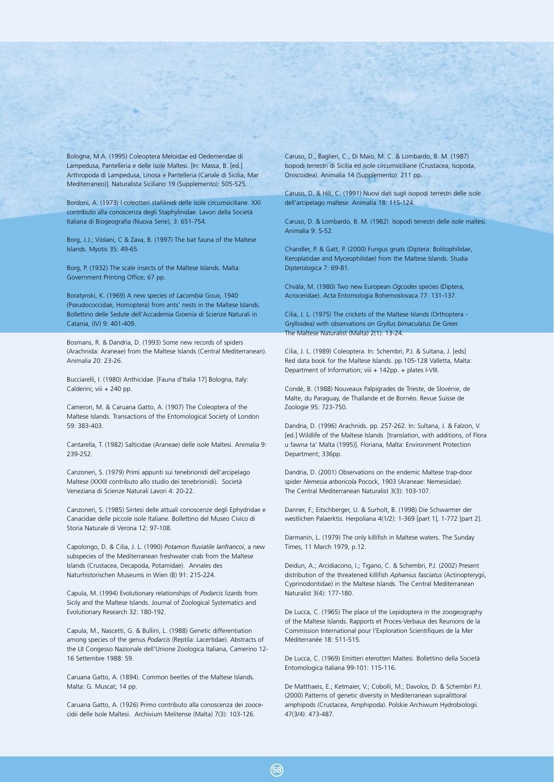Bologna, M.A. (1995) Coleoptera Meloidae ed Oedemeridae di Lampedusa, Pantelleria e delle isole Maltesi. [In: Massa, B. [ed.] Arthropoda di Lampedusa, Linosa e Pantelleria (Canale di Sicilia, Mar Mediterraneo)]. Naturalista Siciliano 19 (Supplemento): 505-525.

Bordoni, A. (1973) I coleotteri stafilinidi delle isole circumsiciliane. XXI contributo alla conoscenza degli Staphylinidae. Lavori della Società Italiana di Biogeografia (Nuova Serie), 3: 651-754.

Borg, J.J.; Violani, C & Zava, B. (1997) The bat fauna of the Maltese Islands. Myotis 35: 49-65.

Borg, P. (1932) The scale insects of the Maltese Islands. Malta: Government Printing Office; 67 pp.

Boratynski, K. (1969) A new species of *Lacombia* Goux, 1940 (Pseudococcidae, Homoptera) from ants' nests in the Maltese Islands. Bollettino delle Sedute dell'Accademia Gioenia di Scienze Naturali in Catania, (IV) 9: 401-409.

Bosmans, R. & Dandria, D. (1993) Some new records of spiders (Arachnida: Araneae) from the Maltese Islands (Central Mediterranean). Animalia 20: 23-26.

Bucciarelli, I. (1980) Anthicidae. [Fauna d'Italia 17] Bologna, Italy: Calderini; viii + 240 pp.

Cameron, M. & Caruana Gatto, A. (1907) The Coleoptera of the Maltese Islands. Transactions of the Entomological Society of London 59: 383-403.

Cantarella, T. (1982) Salticidae (Araneae) delle isole Maltesi. Animalia 9: 239-252.

Canzoneri, S. (1979) Primi appunti sui tenebrionidi dell'arcipelago Maltese (XXXII contributo allo studio dei tenebrionidi). Società Veneziana di Scienze Naturali Lavori 4: 20-22.

Canzoneri, S. (1985) Sintesi delle attuali conoscenze degli Ephydridae e Canacidae delle piccole isole Italiane. Bollettino del Museo Civico di Storia Naturale di Verona 12: 97-108.

Capolongo, D. & Cilia, J. L. (1990) *Potamon fluviatile lanfrancoi*, a new subspecies of the Mediterranean freshwater crab from the Maltese Islands (Crustacea, Decapoda, Potamidae). Annales des Naturhistorischen Museums in Wien (B) 91: 215-224.

Capula, M. (1994) Evolutionary relationships of *Podarcis* lizards from Sicily and the Maltese Islands. Journal of Zoological Systematics and Evolutionary Research 32: 180-192.

Capula, M., Nascetti, G. & Bullini, L. (1988) Genetic differentiation among species of the genus *Podarcis* (Reptila: Lacertidae). Abstracts of the LII Congesso Nazionale dell'Unione Zoologica Italiana, Camerino 12- 16 Settembre 1988: 59.

Caruana Gatto, A. (1894). Common beetles of the Maltese Islands. Malta: G. Muscat; 14 pp.

Caruana Gatto, A. (1926) Primo contributo alla conoscenza dei zoocecidii delle Isole Maltesi. Archivium Melitense (Malta) 7(3): 103-126.

Caruso, D., Baglieri, C., Di Maio, M. C. & Lombardo, B. M. (1987) Isopodi terrestri di Sicilia ed isole circumsiciliane (Crustacea, Isopoda, Oniscoidea). Animalia 14 (Supplemento): 211 pp.

Caruso, D. & Hili, C. (1991) Nuovi dati sugli isopodi terrestri delle isole dell'arcipelago maltese. Animalia 18: 115-124.

Caruso, D. & Lombardo, B. M. (1982) Isopodi terrestri delle isole maltesi. Animalia 9: 5-52.

Chandler, P. & Gatt, P. (2000) Fungus gnats (Diptera: Bolitophilidae, Keroplatidae and Myceophilidae) from the Maltese Islands. Studia Dipterologica 7: 69-81.

Chvála, M. (1980) Two new European *Ogcodes* species (Diptera, Acroceridae). Acta Entomologia Bohemoslovaca 77: 131-137.

Cilia, J. L. (1975) The crickets of the Maltese Islands (Orthoptera - Grylloidea) with observations on *Gryllus bimaculatus* De Greer. The Maltese Naturalist (Malta) 2(1): 13-24.

Cilia, J. L. (1989) Coleoptera. In: Schembri, P.J. & Sultana, J. [eds] Red data book for the Maltese Islands. pp.105-128 Valletta, Malta: Department of Information; viii + 142pp. + plates I-VIII.

Condé, B. (1988) Nouveaux Palpigrades de Trieste, de Slovénie, de Malte, du Paraguay, de Thaïlande et de Bornéo. Revue Suisse de Zoologie 95: 723-750.

Dandria, D. (1996) Arachnids. pp. 257-262. In: Sultana, J. & Falzon, V. [ed.] Wildlife of the Maltese Islands [translation, with additions, of Flora u fawna ta' Malta (1995)]. Floriana, Malta: Environment Protection Department; 336pp.

Dandria, D. (2001) Observations on the endemic Maltese trap-door spider *Nemesia arboricola* Pocock, 1903 (Araneae: Nemesiidae). The Central Mediterranean Naturalist 3(3): 103-107.

Danner, F.; Eitschberger, U. & Surholt, B. (1998) Die Schwarmer der westlichen Palaerktis. Herpoliana 4(1/2): 1-369 [part 1], 1-772 [part 2].

Darmanin, L. (1979) The only killifish in Maltese waters. The Sunday Times, 11 March 1979, p.12.

Deidun, A.; Arcidiacono, I.; Tigano, C. & Schembri, P.J. (2002) Present distribution of the threatened killifish *Aphanius fasciatus* (Actinopterygii, Cyprinodontidae) in the Maltese Islands. The Central Mediterranean Naturalist 3(4): 177-180.

De Lucca, C. (1965) The place of the Lepidoptera in the zoogeography of the Maltese Islands. Rapports et Proces-Verbaux des Reunions de la Commission International pour l'Exploration Scientifiques de la Mer Méditerranée 18: 511-515.

De Lucca, C. (1969) Emitteri eterotteri Maltesi. Bollettino della Società Entomologica Italiana 99-101: 115-116.

De Matthaeis, E.; Ketmaier, V.; Cobolli, M.; Davolos, D. & Schembri P.J. (2000) Patterns of genetic diversity in Mediterranean supralittoral amphipods (Crustacea, Amphipoda). Polskie Archiwum Hydrobiologii. 47(3/4): 473-487.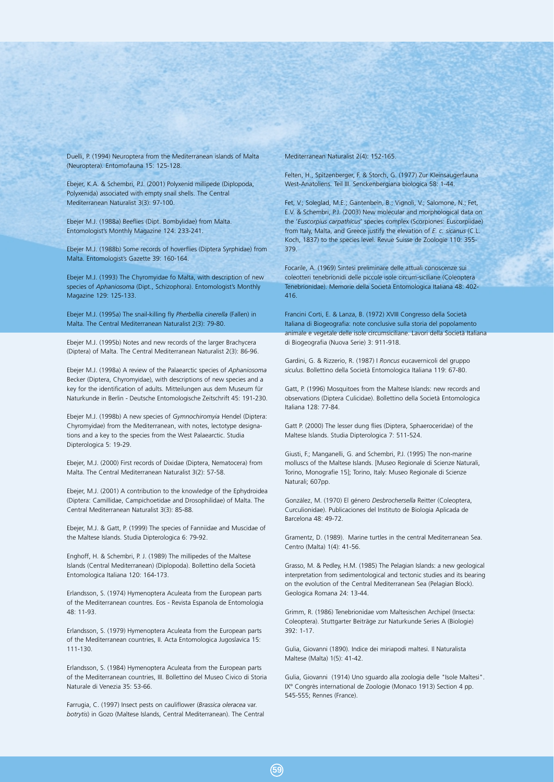Duelli, P. (1994) Neuroptera from the Mediterranean islands of Malta (Neuroptera). Entomofauna 15: 125-128.

Ebejer, K.A. & Schembri, P.J. (2001) Polyxenid millipede (Diplopoda, Polyxenida) associated with empty snail shells. The Central Mediterranean Naturalist 3(3): 97-100.

Ebejer M.J. (1988a) Beeflies (Dipt. Bombylidae) from Malta. Entomologist's Monthly Magazine 124: 233-241.

Ebejer M.J. (1988b) Some records of hoverflies (Diptera Syrphidae) from Malta. Entomologist's Gazette 39: 160-164.

Ebejer M.J. (1993) The Chyromyidae fo Malta, with description of new species of *Aphaniosoma* (Dipt., Schizophora). Entomologist's Monthly Magazine 129: 125-133.

Ebejer M.J. (1995a) The snail-killing fly *Pherbellia cinerella* (Fallen) in Malta. The Central Mediterranean Naturalist 2(3): 79-80.

Ebejer M.J. (1995b) Notes and new records of the larger Brachycera (Diptera) of Malta. The Central Mediterranean Naturalist 2(3): 86-96.

Ebejer M.J. (1998a) A review of the Palaearctic species of *Aphaniosoma* Becker (Diptera, Chyromyidae), with descriptions of new species and a key for the identification of adults. Mitteilungen aus dem Museum für Naturkunde in Berlin - Deutsche Entomologische Zeitschrift 45: 191-230.

Ebejer M.J. (1998b) A new species of *Gymnochiromyia* Hendel (Diptera: Chyromyidae) from the Mediterranean, with notes, lectotype designations and a key to the species from the West Palaearctic. Studia Dipterologica 5: 19-29.

Ebejer, M.J. (2000) First records of Dixidae (Diptera, Nematocera) from Malta. The Central Mediterranean Naturalist 3(2): 57-58.

Ebejer, M.J. (2001) A contribution to the knowledge of the Ephydroidea (Diptera: Camillidae, Campichoetidae and Drosophilidae) of Malta. The Central Mediterranean Naturalist 3(3): 85-88.

Ebejer, M.J. & Gatt, P. (1999) The species of Fanniidae and Muscidae of the Maltese Islands. Studia Dipterologica 6: 79-92.

Enghoff, H. & Schembri, P. J. (1989) The millipedes of the Maltese Islands (Central Mediterranean) (Diplopoda). Bollettino della Società Entomologica Italiana 120: 164-173.

Erlandsson, S. (1974) Hymenoptera Aculeata from the European parts of the Mediterranean countres. Eos - Revista Espanola de Entomologia 48: 11-93.

Erlandsson, S. (1979) Hymenoptera Aculeata from the European parts of the Mediterranean countries, II. Acta Entomologica Jugoslavica 15: 111-130.

Erlandsson, S. (1984) Hymenoptera Aculeata from the European parts of the Mediterranean countries, III. Bollettino del Museo Civico di Storia Naturale di Venezia 35: 53-66.

Farrugia, C. (1997) Insect pests on cauliflower (*Brassica oleracea* var. *botrytis*) in Gozo (Maltese Islands, Central Mediterranean). The Central

#### Mediterranean Naturalist 2(4): 152-165.

Felten, H., Spitzenberger, F. & Storch, G. (1977) Zur Kleinsaugerfauna West-Anatoliens. Teil III. Senckenbergiana biologica 58: 1-44.

Fet, V.; Soleglad, M.E.; Gantenbein, B.; Vignoli, V.; Salomone, N.; Fet, E.V. & Schembri, P.J. (2003) New molecular and morphological data on the '*Euscorpius carpathicus*' species complex (Scorpiones: Euscorpiidae) from Italy, Malta, and Greece justify the elevation of *E. c. sicanus* (C.L. Koch, 1837) to the species level. Revue Suisse de Zoologie 110: 355- 379.

Focarile, A. (1969) Sintesi preliminare delle attuali conoscenze sui coleotteri tenebrionidi delle piccole isole circum-siciliane (Coleoptera Tenebrionidae). Memorie della Società Entomologica Italiana 48: 402- 416.

Francini Corti, E. & Lanza, B. (1972) XVIII Congresso della Società Italiana di Biogeografia: note conclusive sulla storia del popolamento animale e vegetale delle isole circumsiciliane. Lavori della Società Italiana di Biogeografia (Nuova Serie) 3: 911-918.

Gardini, G. & Rizzerio, R. (1987) I *Roncus* eucavernicoli del gruppo *siculus*. Bollettino della Società Entomologica Italiana 119: 67-80.

Gatt, P. (1996) Mosquitoes from the Maltese Islands: new records and observations (Diptera Culicidae). Bollettino della Società Entomologica Italiana 128: 77-84.

Gatt P. (2000) The lesser dung flies (Diptera, Sphaeroceridae) of the Maltese Islands. Studia Dipterologica 7: 511-524.

Giusti, F.; Manganelli, G. and Schembri, P.J. (1995) The non-marine molluscs of the Maltese Islands. [Museo Regionale di Scienze Naturali, Torino, Monografie 15]; Torino, Italy: Museo Regionale di Scienze Naturali; 607pp.

González, M. (1970) El género *Desbrochersella* Reitter (Coleoptera, Curculionidae). Publicaciones del Instituto de Biologia Aplicada de Barcelona 48: 49-72.

Gramentz, D. (1989). Marine turtles in the central Mediterranean Sea. Centro (Malta) 1(4): 41-56.

Grasso, M. & Pedley, H.M. (1985) The Pelagian Islands: a new geological interpretation from sedimentological and tectonic studies and its bearing on the evolution of the Central Mediterranean Sea (Pelagian Block). Geologica Romana 24: 13-44.

Grimm, R. (1986) Tenebrionidae vom Maltesischen Archipel (Insecta: Coleoptera). Stuttgarter Beiträge zur Naturkunde Series A (Biologie) 392: 1-17.

Gulia, Giovanni (1890). Indice dei miriapodi maltesi. Il Naturalista Maltese (Malta) 1(5): 41-42.

Gulia, Giovanni (1914) Uno sguardo alla zoologia delle "Isole Maltesi". IX° Congrès international de Zoologie (Monaco 1913) Section 4 pp. 545-555; Rennes (France).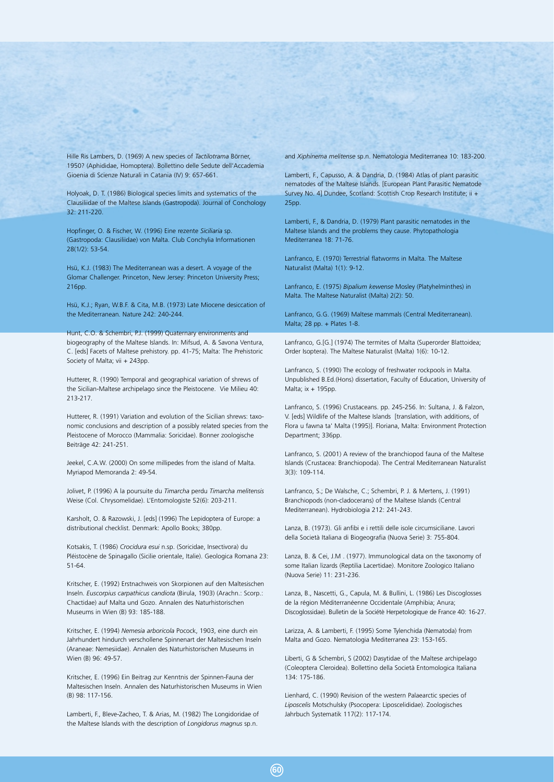Hille Ris Lambers, D. (1969) A new species of *Tactilotrama* Börner, 1950? (Aphididae, Homoptera). Bollettino delle Sedute dell'Accademia Gioenia di Scienze Naturali in Catania (IV) 9: 657-661.

Holyoak, D. T. (1986) Biological species limits and systematics of the Clausiliidae of the Maltese Islands (Gastropoda). Journal of Conchology 32: 211-220.

Hopfinger, O. & Fischer, W. (1996) Eine rezente *Siciliaria* sp. (Gastropoda: Clausiliidae) von Malta. Club Conchylia Informationen 28(1/2): 53-54.

Hsü, K.J. (1983) The Mediterranean was a desert. A voyage of the Glomar Challenger. Princeton, New Jersey: Princeton University Press; 216pp.

Hsü, K.J.; Ryan, W.B.F. & Cita, M.B. (1973) Late Miocene desiccation of the Mediterranean. Nature 242: 240-244.

Hunt, C.O. & Schembri, P.J. (1999) Quaternary environments and biogeography of the Maltese Islands. In: Mifsud, A. & Savona Ventura, C. [eds] Facets of Maltese prehistory. pp. 41-75; Malta: The Prehistoric Society of Malta; vii + 243pp.

Hutterer, R. (1990) Temporal and geographical variation of shrews of the Sicilian-Maltese archipelago since the Pleistocene. Vie Milieu 40: 213-217.

Hutterer, R. (1991) Variation and evolution of the Sicilian shrews: taxonomic conclusions and description of a possibly related species from the Pleistocene of Morocco (Mammalia: Soricidae). Bonner zoologische Beiträge 42: 241-251.

Jeekel, C.A.W. (2000) On some millipedes from the island of Malta. Myriapod Memoranda 2: 49-54.

Jolivet, P. (1996) A la poursuite du *Timarcha* perdu *Timarcha melitensis* Weise (Col. Chrysomelidae). L'Entomologiste 52(6): 203-211.

Karsholt, O. & Razowski, J. [eds] (1996) The Lepidoptera of Europe: a distributional checklist. Denmark: Apollo Books; 380pp.

Kotsakis, T. (1986) *Crocidura esui* n.sp. (Soricidae, Insectivora) du Pléistocène de Spinagallo (Sicilie orientale, Italie). Geologica Romana 23: 51-64.

Kritscher, E. (1992) Erstnachweis von Skorpionen auf den Maltesischen Inseln. *Euscorpius carpathicus candiota* (Birula, 1903) (Arachn.: Scorp.: Chactidae) auf Malta und Gozo. Annalen des Naturhistorischen Museums in Wien (B) 93: 185-188.

Kritscher, E. (1994) *Nemesia arboricola* Pocock, 1903, eine durch ein Jahrhundert hindurch verschollene Spinnenart der Maltesischen Inseln (Araneae: Nemesiidae). Annalen des Naturhistorischen Museums in Wien (B) 96: 49-57.

Kritscher, E. (1996) Ein Beitrag zur Kenntnis der Spinnen-Fauna der Maltesischen Inseln. Annalen des Naturhistorischen Museums in Wien (B) 98: 117-156.

Lamberti, F., Bleve-Zacheo, T. & Arias, M. (1982) The Longidoridae of the Maltese Islands with the description of *Longidorus magnus* sp.n.

and *Xiphinema melitense* sp.n. Nematologia Mediterranea 10: 183-200.

Lamberti, F., Capusso, A. & Dandria, D. (1984) Atlas of plant parasitic nematodes of the Maltese Islands. [European Plant Parasitic Nematode Survey No. 4] Dundee, Scotland: Scottish Crop Research Institute; ii + 25pp.

Lamberti, F., & Dandria, D. (1979) Plant parasitic nematodes in the Maltese Islands and the problems they cause. Phytopathologia Mediterranea 18: 71-76.

Lanfranco, E. (1970) Terrestrial flatworms in Malta. The Maltese Naturalist (Malta) 1(1): 9-12.

Lanfranco, E. (1975) *Bipalium kewense* Mosley (Platyhelminthes) in Malta. The Maltese Naturalist (Malta) 2(2): 50.

Lanfranco, G.G. (1969) Maltese mammals (Central Mediterranean). Malta; 28 pp. + Plates 1-8.

Lanfranco, G.[G.] (1974) The termites of Malta (Superorder Blattoidea; Order Isoptera). The Maltese Naturalist (Malta) 1(6): 10-12.

Lanfranco, S. (1990) The ecology of freshwater rockpools in Malta. Unpublished B.Ed.(Hons) dissertation, Faculty of Education, University of Malta; ix + 195pp.

Lanfranco, S. (1996) Crustaceans. pp. 245-256. In: Sultana, J. & Falzon, V. [eds] Wildlife of the Maltese Islands [translation, with additions, of Flora u fawna ta' Malta (1995)]. Floriana, Malta: Environment Protection Department; 336pp.

Lanfranco, S. (2001) A review of the branchiopod fauna of the Maltese Islands (Crustacea: Branchiopoda). The Central Mediterranean Naturalist 3(3): 109-114.

Lanfranco, S.; De Walsche, C.; Schembri, P. J. & Mertens, J. (1991) Branchiopods (non-cladocerans) of the Maltese Islands (Central Mediterranean). Hydrobiologia 212: 241-243.

Lanza, B. (1973). Gli anfibi e i rettili delle isole circumsiciliane. Lavori della Società Italiana di Biogeografia (Nuova Serie) 3: 755-804.

Lanza, B. & Cei, J.M . (1977). Immunological data on the taxonomy of some Italian lizards (Reptilia Lacertidae). Monitore Zoologico Italiano (Nuova Serie) 11: 231-236.

Lanza, B., Nascetti, G., Capula, M. & Bullini, L. (1986) Les Discoglosses de la région Méditerranéenne Occidentale (Amphibia; Anura; Discoglossidae). Bulletin de la Sociétè Herpetologique de France 40: 16-27.

Larizza, A. & Lamberti, F. (1995) Some Tylenchida (Nematoda) from Malta and Gozo. Nematologia Mediterranea 23: 153-165.

Liberti, G & Schembri, S (2002) Dasytidae of the Maltese archipelago (Coleoptera Cleroidea). Bollettino della Società Entomologica Italiana 134: 175-186.

Lienhard, C. (1990) Revision of the western Palaearctic species of *Liposcelis* Motschulsky (Psocopera: Liposcelididae). Zoologisches Jahrbuch Systematik 117(2): 117-174.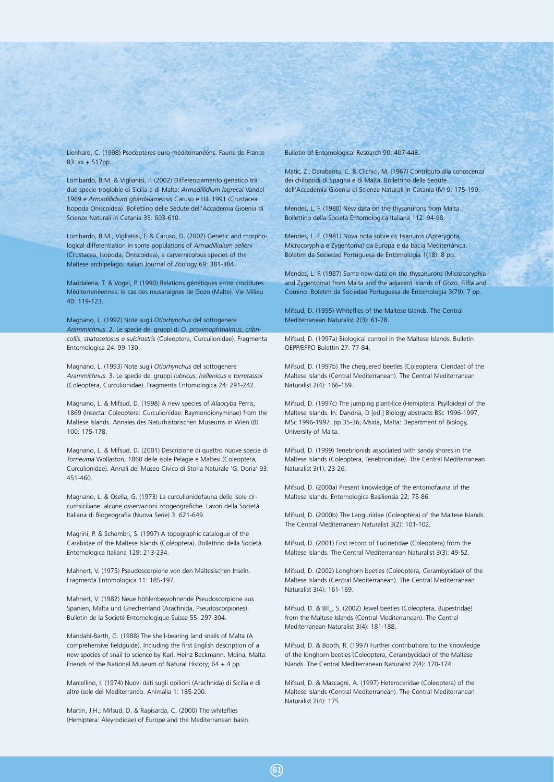Lienhard, C. (1998) Psocopteres euro-méditerranéens. Faune de France 83: xx + 517pp.

Lombardo, B.M. & Viglianisi, F. (2002) Differenziamento genetico tra due specie troglobie di Sicilia e di Malta: *Armadillidium lagrecai* Vandel 1969 e *Armadillidium ghardalamensis* Caruso e Hili 1991 (Crustacea Isopoda Oniscoidea). Bollettino delle Sedute dell'Accademia Gioenia di Scienze Naturali in Catania 35: 603-610.

Lombardo, B.M.; Viglianisi, F. & Caruso, D. (2002) Genetic and morphological differentiation in some populations of *Armadillidium aelleni* (Crustacea, Isopoda, Oniscoidea), a carvernicolous species of the Maltese archipelago. Italian Journal of Zoology 69: 381-384.

Maddalena, T. & Vogel, P. (1990) Relations génétiques entre crocidures Méditerranéennes: le cas des musaraignes de Gozo (Malte). Vie Milieu 40: 119-123.

Magnano, L. (1992) Note sugli *Otiorhynchus* del sottogenere *Arammichnus*. 2. Le specie dei gruppi di *O. proximophthalmus*, *cribricollis*, *stiatosetosus e sulcirostris* (Coleoptera, Curculionidae). Fragmenta Entomologica 24: 99-130.

Magnano, L. (1993) Note sugli *Otiorhynchus* del sottogenere *Arammichnus*. 3. Le specie dei gruppi *lubricus*, *hellenicus* e *torretassoi* (Coleoptera, Curculionidae). Fragmenta Entomologica 24: 291-242.

Magnano, L. & Mifsud, D. (1998) A new species of *Alaocyba* Perris, 1869 (Insecta: Coleoptera: Curculionidae: Raymondionyminae) from the Maltese Islands. Annales des Naturhistorischen Museums in Wien (B) 100: 175-178.

Magnano, L. & Mifsud, D. (2001) Descrizione di quattro nuove specie di *Torneuma* Wollaston, 1860 delle isole Pelagie e Maltesi (Coleoptera, Curculionidae). Annali del Museo Civico di Storia Naturale 'G. Doria' 93: 451-460.

Magnano, L. & Osella, G. (1973) La curculionidofauna delle isole circumsiciliane: alcune osservazioni zoogeografiche. Lavori della Società Italiana di Biogeografia (Nuova Serie) 3: 621-649.

Magrini, P. & Schembri, S. (1997) A topographic catalogue of the Carabidae of the Maltese Islands (Coleoptera). Bollettino della Società Entomologica Italiana 129: 213-234.

Mahnert, V. (1975) Pseudoscorpione von den Maltesischen Inseln. Fragmenta Entomologica 11: 185-197.

Mahnert, V. (1982) Neue höhlenbewohnende Pseudoscorpione aus Spanien, Malta und Griechenland (Arachnida, Pseudoscorpiones). Bulletin de la Societé Entomologique Suisse 55: 297-304.

Mandahl-Barth, G. (1988) The shell-bearing land snails of Malta (A comprehensive fieldguide). Including the first English description of a new species of snail to science by Karl. Heinz Beckmann. Mdina, Malta: Friends of the National Museum of Natural History; 64 + 4 pp.

Marcellino, I. (1974) Nuovi dati sugli opilioni (Arachnida) di Sicilia e di altre isole del Mediterraneo. Animalia 1: 185-200.

Martin, J.H.; Mifsud, D. & Rapisarda, C. (2000) The whiteflies (Hemiptera: Aleyrodidae) of Europe and the Mediterranean basin. Bulletin of Entomological Research 90: 407-448.

Matic, Z., Darabantu, C. & Clichici, M. (1967) Contributo alla conoscenza dei chilopodi di Spagna e di Malta. Bollettino delle Sedute dell'Accademia Gioenia di Scienze Naturali in Catania (IV) 9: 175-199.

Mendes, L. F. (1980) New data on the thysanurons from Malta. Bollettino della Società Entomologica Italiana 112: 94-98.

Mendes, L. F. (1981) Nova nota sobre os tisanuros (Apterygota, Microcoryphia e Zygentoma) da Europa e da bacia Mediterrânica. Boletim da Sociedad Portuguesa de Entomologia 1(18): 8 pp.

Mendes, L. F. (1987) Some new data on the thysanurons (Microcoryphia and Zygentoma) from Malta and the adjacent islands of Gozo, Filfla and Comino. Boletim da Sociedad Portuguesa de Entomologia 3(79): 7 pp.

Mifsud, D. (1995) Whiteflies of the Maltese Islands. The Central Mediterranean Naturalist 2(3): 61-78.

Mifsud, D. (1997a) Biological control in the Maltese Islands. Bulletin OEPP/EPPO Bulettin 27: 77-84.

Mifsud, D. (1997b) The chequered beetles (Coleoptera: Cleridae) of the Maltese Islands (Central Mediterranean). The Central Mediterranean Naturalist 2(4): 166-169.

Mifsud, D. (1997c) The jumping plant-lice (Hemiptera: Psylloidea) of the Maltese Islands. In: Dandria, D [ed.] Biology abstracts BSc 1996-1997, MSc 1996-1997. pp.35-36; Msida, Malta: Department of Biology, University of Malta.

Mifsud, D. (1999) Tenebrionids associated with sandy shores in the Maltese Islands (Coleoptera, Tenebrionidae). The Central Mediterranean Naturalist 3(1): 23-26.

Mifsud, D. (2000a) Present knowledge of the entomofauna of the Maltese Islands. Entomologica Basiliensia 22: 75-86.

Mifsud, D. (2000b) The Languriidae (Coleoptera) of the Maltese Islands. The Central Mediterranean Naturalist 3(2): 101-102.

Mifsud, D. (2001) First record of Eucinetidae (Coleoptera) from the Maltese Islands. The Central Mediterranean Naturalist 3(3): 49-52.

Mifsud, D. (2002) Longhorn beetles (Coleoptera, Cerambycidae) of the Maltese Islands (Central Mediterranean). The Central Mediterranean Naturalist 3(4): 161-169.

Mifsud, D. & Bíl\_, S. (2002) Jewel beetles (Coleoptera, Bupestridae) from the Maltese Islands (Central Mediterranean). The Central Mediterranean Naturalist 3(4): 181-188.

Mifsud, D. & Booth, R. (1997) Further contributions to the knowledge of the longhorn beetles (Coleoptera, Cerambycidae) of the Maltese Islands. The Central Mediterranean Naturalist 2(4): 170-174.

Mifsud, D. & Mascagni, A. (1997) Heteroceridae (Coleoptera) of the Maltese Islands (Central Mediterranean). The Central Mediterranean Naturalist 2(4): 175.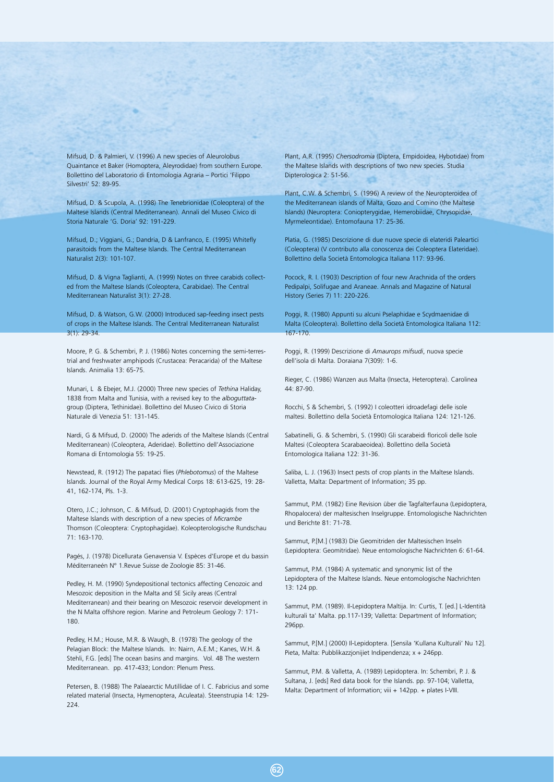Mifsud, D. & Palmieri, V. (1996) A new species of Aleurolobus Quaintance et Baker (Homoptera, Aleyrodidae) from southern Europe. Bollettino del Laboratorio di Entomologia Agraria – Portici 'Filippo Silvestri' 52: 89-95.

Mifsud, D. & Scupola, A. (1998) The Tenebrionidae (Coleoptera) of the Maltese Islands (Central Mediterranean). Annali del Museo Civico di Storia Naturale 'G. Doria' 92: 191-229.

Mifsud, D.; Viggiani, G.; Dandria, D & Lanfranco, E. (1995) Whitefly parasitoids from the Maltese Islands. The Central Mediterranean Naturalist 2(3): 101-107.

Mifsud, D. & Vigna Taglianti, A. (1999) Notes on three carabids collected from the Maltese Islands (Coleoptera, Carabidae). The Central Mediterranean Naturalist 3(1): 27-28.

Mifsud, D. & Watson, G.W. (2000) Introduced sap-feeding insect pests of crops in the Maltese Islands. The Central Mediterranean Naturalist 3(1): 29-34.

Moore, P. G. & Schembri, P. J. (1986) Notes concerning the semi-terrestrial and freshwater amphipods (Crustacea: Peracarida) of the Maltese Islands. Animalia 13: 65-75.

Munari, L & Ebejer, M.J. (2000) Three new species of *Tethina* Haliday, 1838 from Malta and Tunisia, with a revised key to the *alboguttata*group (Diptera, Tethinidae). Bollettino del Museo Civico di Storia Naturale di Venezia 51: 131-145.

Nardi, G & Mifsud, D. (2000) The aderids of the Maltese Islands (Central Mediterranean) (Coleoptera, Aderidae). Bollettino dell'Associazione Romana di Entomologia 55: 19-25.

Newstead, R. (1912) The papataci flies (*Phlebotomus*) of the Maltese Islands. Journal of the Royal Army Medical Corps 18: 613-625, 19: 28- 41, 162-174, Pls. 1-3.

Otero, J.C.; Johnson, C. & Mifsud, D. (2001) Cryptophagids from the Maltese Islands with description of a new species of *Micrambe* Thomson (Coleoptera: Cryptophagidae). Koleopterologische Rundschau 71: 163-170.

Pagés, J. (1978) Dicellurata Genavensia V. Espèces d'Europe et du bassin Méditerraneén N° 1.Revue Suisse de Zoologie 85: 31-46.

Pedley, H. M. (1990) Syndepositional tectonics affecting Cenozoic and Mesozoic deposition in the Malta and SE Sicily areas (Central Mediterranean) and their bearing on Mesozoic reservoir development in the N Malta offshore region. Marine and Petroleum Geology 7: 171- 180.

Pedley, H.M.; House, M.R. & Waugh, B. (1978) The geology of the Pelagian Block: the Maltese Islands. In: Nairn, A.E.M.; Kanes, W.H. & Stehli, F.G. [eds] The ocean basins and margins. Vol. 4B The western Mediterranean. pp. 417-433; London: Plenum Press.

Petersen, B. (1988) The Palaearctic Mutillidae of I. C. Fabricius and some related material (Insecta, Hymenoptera, Aculeata). Steenstrupia 14: 129- 224

Plant, A.R. (1995) *Chersodromia* (Diptera, Empidoidea, Hybotidae) from the Maltese Islands with descriptions of two new species. Studia Dipterologica 2: 51-56.

Plant, C.W. & Schembri, S. (1996) A review of the Neuropteroidea of the Mediterranean islands of Malta, Gozo and Comino (the Maltese Islands) (Neuroptera: Coniopterygidae, Hemerobiidae, Chrysopidae, Myrmeleontidae). Entomofauna 17: 25-36.

Platia, G. (1985) Descrizione di due nuove specie di elateridi Paleartici (Coleoptera) (V contributo alla conoscenza dei Coleoptera Elateridae). Bollettino della Società Entomologica Italiana 117: 93-96.

Pocock, R. I. (1903) Description of four new Arachnida of the orders Pedipalpi, Solifugae and Araneae. Annals and Magazine of Natural History (Series 7) 11: 220-226.

Poggi, R. (1980) Appunti su alcuni Pselaphidae e Scydmaenidae di Malta (Coleoptera). Bollettino della Società Entomologica Italiana 112: 167-170.

Poggi, R. (1999) Descrizione di *Amaurops mifsudi*, nuova specie dell'isola di Malta. Doraiana 7(309): 1-6.

Rieger, C. (1986) Wanzen aus Malta (Insecta, Heteroptera). Carolinea 44: 87-90.

Rocchi, S & Schembri, S. (1992) I coleotteri idroadefagi delle isole maltesi. Bollettino della Società Entomologica Italiana 124: 121-126.

Sabatinelli, G. & Schembri, S. (1990) Gli scarabeidi floricoli delle Isole Maltesi (Coleoptera Scarabaeoidea). Bollettino della Società Entomologica Italiana 122: 31-36.

Saliba, L. J. (1963) Insect pests of crop plants in the Maltese Islands. Valletta, Malta: Department of Information; 35 pp.

Sammut, P.M. (1982) Eine Revision über die Tagfalterfauna (Lepidoptera, Rhopalocera) der maltesischen Inselgruppe. Entomologische Nachrichten und Berichte 81: 71-78.

Sammut, P.[M.] (1983) Die Geomitriden der Maltesischen Inseln (Lepidoptera: Geomitridae). Neue entomologische Nachrichten 6: 61-64.

Sammut, P.M. (1984) A systematic and synonymic list of the Lepidoptera of the Maltese Islands. Neue entomologische Nachrichten 13: 124 pp.

Sammut, P.M. (1989). Il-Lepidoptera Maltija. In: Curtis, T. [ed.] L-Identità kulturali ta' Malta. pp.117-139; Valletta: Department of Information; 296pp.

Sammut, P.[M.] (2000) Il-Lepidoptera. [Sensila 'Kullana Kulturali' Nu 12]. Pieta, Malta: Pubblikazzjonijiet Indipendenza; x + 246pp.

Sammut, P.M. & Valletta, A. (1989) Lepidoptera. In: Schembri, P. J. & Sultana, J. [eds] Red data book for the Islands. pp. 97-104; Valletta, Malta: Department of Information; viii + 142pp. + plates I-VIII.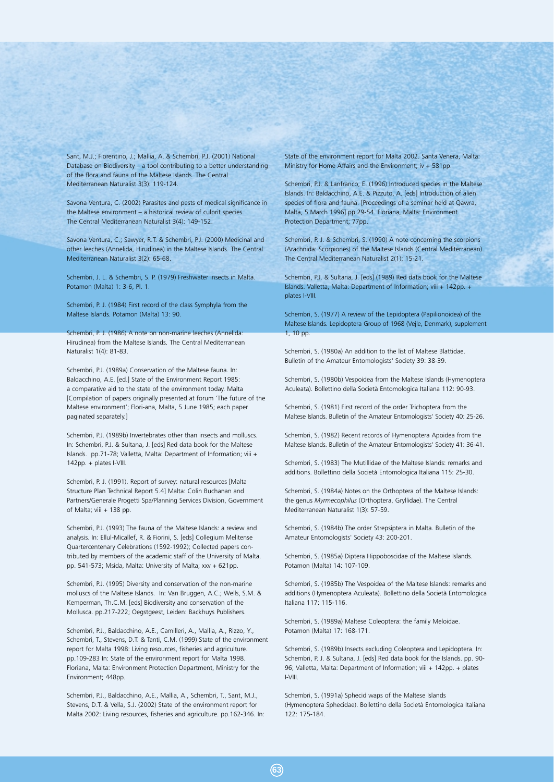Sant, M.J.; Fiorentino, J.; Mallia, A. & Schembri, P.J. (2001) National Database on Biodiversity – a tool contributing to a better understanding of the flora and fauna of the Maltese Islands. The Central Mediterranean Naturalist 3(3): 119-124.

Savona Ventura, C. (2002) Parasites and pests of medical significance in the Maltese environment – a historical review of culprit species. The Central Mediterranean Naturalist 3(4): 149-152.

Savona Ventura, C.; Sawyer, R.T. & Schembri, P.J. (2000) Medicinal and other leeches (Annelida, Hirudinea) in the Maltese Islands. The Central Mediterranean Naturalist 3(2): 65-68.

Schembri, J. L. & Schembri, S. P. (1979) Freshwater insects in Malta. Potamon (Malta) 1: 3-6, Pl. 1.

Schembri, P. J. (1984) First record of the class Symphyla from the Maltese Islands. Potamon (Malta) 13: 90.

Schembri, P. J. (1986) A note on non-marine leeches (Annelida: Hirudinea) from the Maltese Islands. The Central Mediterranean Naturalist 1(4): 81-83.

Schembri, P.J. (1989a) Conservation of the Maltese fauna. In: Baldacchino, A.E. [ed.] State of the Environment Report 1985: a comparative aid to the state of the environment today. Malta [Compilation of papers originally presented at forum 'The future of the Maltese environment'; Flori-ana, Malta, 5 June 1985; each paper paginated separately.]

Schembri, P.J. (1989b) Invertebrates other than insects and molluscs. In: Schembri, P.J. & Sultana, J. [eds] Red data book for the Maltese Islands. pp.71-78; Valletta, Malta: Department of Information; viii + 142pp. + plates I-VIII.

Schembri, P. J. (1991). Report of survey: natural resources [Malta Structure Plan Technical Report 5.4] Malta: Colin Buchanan and Partners/Generale Progetti Spa/Planning Services Division, Government of Malta; viii + 138 pp.

Schembri, P.J. (1993) The fauna of the Maltese Islands: a review and analysis. In: Ellul-Micallef, R. & Fiorini, S. [eds] Collegium Melitense Quartercentenary Celebrations (1592-1992); Collected papers contributed by members of the academic staff of the University of Malta. pp. 541-573; Msida, Malta: University of Malta; xxv + 621pp.

Schembri, P.J. (1995) Diversity and conservation of the non-marine molluscs of the Maltese Islands. In: Van Bruggen, A.C.; Wells, S.M. & Kemperman, Th.C.M. [eds] Biodiversity and conservation of the Mollusca. pp.217-222; Oegstgeest, Leiden: Backhuys Publishers.

Schembri, P.J., Baldacchino, A.E., Camilleri, A., Mallia, A., Rizzo, Y., Schembri, T., Stevens, D.T. & Tanti, C.M. (1999) State of the environment report for Malta 1998: Living resources, fisheries and agriculture. pp.109-283 In: State of the environment report for Malta 1998. Floriana, Malta: Environment Protection Department, Ministry for the Environment; 448pp.

Schembri, P.J., Baldacchino, A.E., Mallia, A., Schembri, T., Sant, M.J., Stevens, D.T. & Vella, S.J. (2002) State of the environment report for Malta 2002: Living resources, fisheries and agriculture. pp.162-346. In: State of the environment report for Malta 2002. Santa Venera, Malta: Ministry for Home Affairs and the Environment; iv + 581pp.

Schembri, P.J. & Lanfranco, E. (1996) Introduced species in the Maltese Islands. In: Baldacchino, A.E. & Pizzuto, A. [eds] Introduction of alien species of flora and fauna. [Proceedings of a seminar held at Qawra, Malta, 5 March 1996] pp.29-54. Floriana, Malta: Environment Protection Department; 77pp.

Schembri, P. J. & Schembri, S. (1990) A note concerning the scorpions (Arachnida: Scorpiones) of the Maltese Islands (Central Mediterranean). The Central Mediterranean Naturalist 2(1): 15-21.

Schembri, P.J. & Sultana, J. [eds] (1989) Red data book for the Maltese Islands. Valletta, Malta: Department of Information; viii + 142pp. + plates I-VIII.

Schembri, S. (1977) A review of the Lepidoptera (Papilionoidea) of the Maltese Islands. Lepidoptera Group of 1968 (Vejle, Denmark), supplement 1, 10 pp.

Schembri, S. (1980a) An addition to the list of Maltese Blattidae. Bulletin of the Amateur Entomologists' Society 39: 38-39.

Schembri, S. (1980b) Vespoidea from the Maltese Islands (Hymenoptera Aculeata). Bollettino della Società Entomologica Italiana 112: 90-93.

Schembri, S. (1981) First record of the order Trichoptera from the Maltese Islands. Bulletin of the Amateur Entomologists' Society 40: 25-26.

Schembri, S. (1982) Recent records of Hymenoptera Apoidea from the Maltese Islands. Bulletin of the Amateur Entomologists' Society 41: 36-41.

Schembri, S. (1983) The Mutillidae of the Maltese Islands: remarks and additions. Bollettino della Società Entomologica Italiana 115: 25-30.

Schembri, S. (1984a) Notes on the Orthoptera of the Maltese Islands: the genus *Myrmecophilus* (Orthoptera, Gryllidae). The Central Mediterranean Naturalist 1(3): 57-59.

Schembri, S. (1984b) The order Strepsiptera in Malta. Bulletin of the Amateur Entomologists' Society 43: 200-201.

Schembri, S. (1985a) Diptera Hippoboscidae of the Maltese Islands. Potamon (Malta) 14: 107-109.

Schembri, S. (1985b) The Vespoidea of the Maltese Islands: remarks and additions (Hymenoptera Aculeata). Bollettino della Società Entomologica Italiana 117: 115-116.

Schembri, S. (1989a) Maltese Coleoptera: the family Meloidae. Potamon (Malta) 17: 168-171.

Schembri, S. (1989b) Insects excluding Coleoptera and Lepidoptera. In: Schembri, P. J. & Sultana, J. [eds] Red data book for the Islands. pp. 90- 96; Valletta, Malta: Department of Information; viii + 142pp. + plates I-VIII.

Schembri, S. (1991a) Sphecid waps of the Maltese Islands (Hymenoptera Sphecidae). Bollettino della Società Entomologica Italiana 122: 175-184.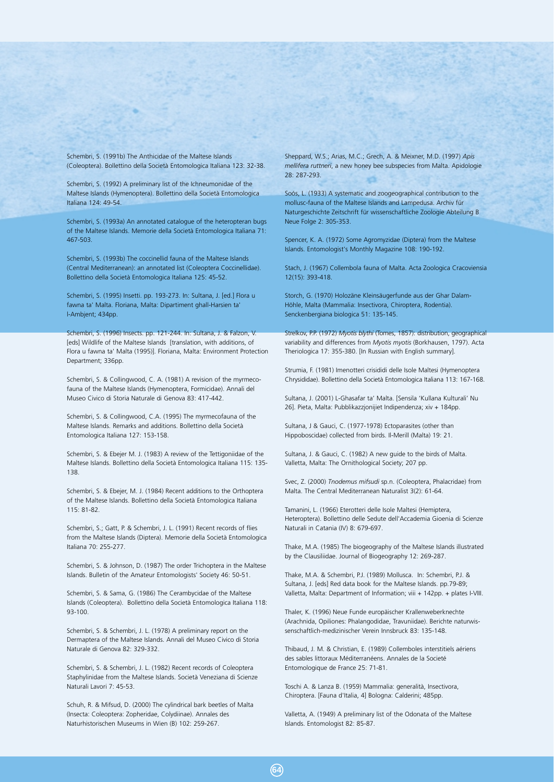Schembri, S. (1991b) The Anthicidae of the Maltese Islands (Coleoptera). Bollettino della Società Entomologica Italiana 123: 32-38.

Schembri, S. (1992) A preliminary list of the Ichneumonidae of the Maltese Islands (Hymenoptera). Bollettino della Società Entomologica Italiana 124: 49-54.

Schembri, S. (1993a) An annotated catalogue of the heteropteran bugs of the Maltese Islands. Memorie della Società Entomologica Italiana 71: 467-503.

Schembri, S. (1993b) The coccinellid fauna of the Maltese Islands (Central Mediterranean): an annotated list (Coleoptera Coccinellidae). Bollettino della Società Entomologica Italiana 125: 45-52.

Schembri, S. (1995) Insetti. pp. 193-273. In: Sultana, J. [ed.] Flora u fawna ta' Malta. Floriana, Malta: Dipartiment ghall-Harsien ta' l-Ambjent; 434pp.

Schembri, S. (1996) Insects. pp. 121-244. In: Sultana, J. & Falzon, V. [eds] Wildlife of the Maltese Islands [translation, with additions, of Flora u fawna ta' Malta (1995)]. Floriana, Malta: Environment Protection Department; 336pp.

Schembri, S. & Collingwood, C. A. (1981) A revision of the myrmecofauna of the Maltese Islands (Hymenoptera, Formicidae). Annali del Museo Civico di Storia Naturale di Genova 83: 417-442.

Schembri, S. & Collingwood, C.A. (1995) The myrmecofauna of the Maltese Islands. Remarks and additions. Bollettino della Società Entomologica Italiana 127: 153-158.

Schembri, S. & Ebejer M. J. (1983) A review of the Tettigoniidae of the Maltese Islands. Bollettino della Società Entomologica Italiana 115: 135- 138.

Schembri, S. & Ebejer, M. J. (1984) Recent additions to the Orthoptera of the Maltese Islands. Bollettino della Società Entomologica Italiana 115: 81-82.

Schembri, S.; Gatt, P. & Schembri, J. L. (1991) Recent records of flies from the Maltese Islands (Diptera). Memorie della Società Entomologica Italiana 70: 255-277.

Schembri, S. & Johnson, D. (1987) The order Trichoptera in the Maltese Islands. Bulletin of the Amateur Entomologists' Society 46: 50-51.

Schembri, S. & Sama, G. (1986) The Cerambycidae of the Maltese Islands (Coleoptera). Bollettino della Società Entomologica Italiana 118: 93-100.

Schembri, S. & Schembri, J. L. (1978) A preliminary report on the Dermaptera of the Maltese Islands. Annali del Museo Civico di Storia Naturale di Genova 82: 329-332.

Schembri, S. & Schembri, J. L. (1982) Recent records of Coleoptera Staphylinidae from the Maltese Islands. Società Veneziana di Scienze Naturali Lavori 7: 45-53.

Schuh, R. & Mifsud, D. (2000) The cylindrical bark beetles of Malta (Insecta: Coleoptera: Zopheridae, Colydiinae). Annales des Naturhistorischen Museums in Wien (B) 102: 259-267.

Sheppard, W.S.; Arias, M.C.; Grech, A. & Meixner, M.D. (1997) *Apis mellifera ruttneri*, a new honey bee subspecies from Malta. Apidologie 28: 287-293.

Soós, L. (1933) A systematic and zoogeographical contribution to the mollusc-fauna of the Maltese Islands and Lampedusa. Archiv für Naturgeschichte Zeitschrift für wissenschaftliche Zoologie Abteilung B Neue Folge 2: 305-353.

Spencer, K. A. (1972) Some Agromyzidae (Diptera) from the Maltese Islands. Entomologist's Monthly Magazine 108: 190-192.

Stach, J. (1967) Collembola fauna of Malta. Acta Zoologica Cracoviensia 12(15): 393-418.

Storch, G. (1970) Holozäne Kleinsäugerfunde aus der Ghar Dalam-Höhle, Malta (Mammalia: Insectivora, Chiroptera, Rodentia). Senckenbergiana biologica 51: 135-145.

Strelkov, P.P. (1972) *Myotis blythi* (Tomes, 1857): distribution, geographical variability and differences from *Myotis myotis* (Borkhausen, 1797). Acta Theriologica 17: 355-380. [In Russian with English summary].

Strumia, F. (1981) Imenotteri crisididi delle Isole Maltesi (Hymenoptera Chrysididae). Bollettino della Società Entomologica Italiana 113: 167-168.

Sultana, J. (2001) L-Ghasafar ta' Malta. [Sensila 'Kullana Kulturali' Nu 26]. Pieta, Malta: Pubblikazzjonijiet Indipendenza; xiv + 184pp.

Sultana, J & Gauci, C. (1977-1978) Ectoparasites (other than Hippoboscidae) collected from birds. Il-Merill (Malta) 19: 21.

Sultana, J. & Gauci, C. (1982) A new guide to the birds of Malta. Valletta, Malta: The Ornithological Society; 207 pp.

Svec, Z. (2000) *Tnodemus mifsudi* sp.n. (Coleoptera, Phalacridae) from Malta. The Central Mediterranean Naturalist 3(2): 61-64.

Tamanini, L. (1966) Eterotteri delle Isole Maltesi (Hemiptera, Heteroptera). Bollettino delle Sedute dell'Accademia Gioenia di Scienze Naturali in Catania (IV) 8: 679-697.

Thake, M.A. (1985) The biogeography of the Maltese Islands illustrated by the Clausiliidae. Journal of Biogeography 12: 269-287.

Thake, M.A. & Schembri, P.J. (1989) Mollusca. In: Schembri, P.J. & Sultana, J. [eds] Red data book for the Maltese Islands. pp.79-89; Valletta, Malta: Department of Information; viii + 142pp. + plates I-VIII.

Thaler, K. (1996) Neue Funde europäischer Krallenweberknechte (Arachnida, Opiliones: Phalangodidae, Travuniidae). Berichte naturwissenschaftlich-medizinischer Verein Innsbruck 83: 135-148.

Thibaud, J. M. & Christian, E. (1989) Collemboles interstitiels aériens des sables littoraux Méditerranéens. Annales de la Societé Entomologique de France 25: 71-81.

Toschi A. & Lanza B. (1959) Mammalia: generalità, Insectivora, Chiroptera. [Fauna d'Italia, 4] Bologna: Calderini; 485pp.

Valletta, A. (1949) A preliminary list of the Odonata of the Maltese Islands. Entomologist 82: 85-87.